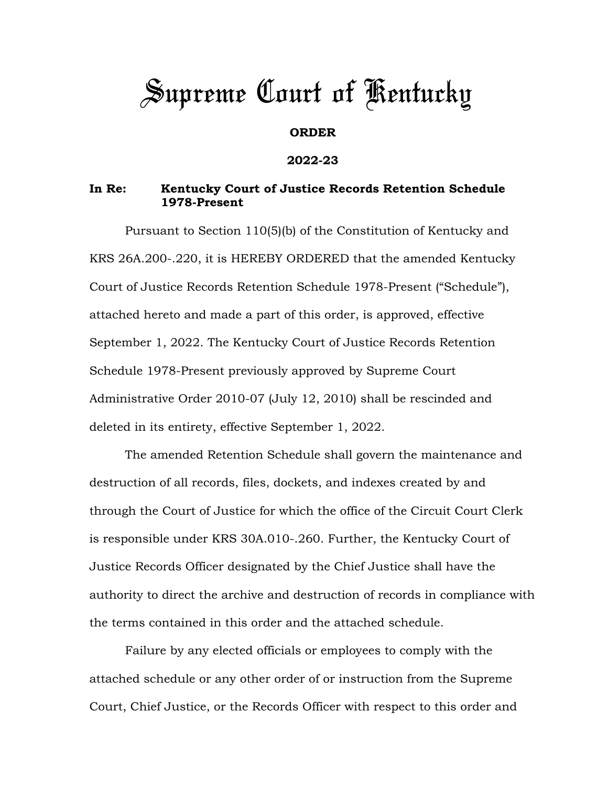# *Supreme Court of Kentucky*

## **ORDER**

### **2022-23**

## **In Re: Kentucky Court of Justice Records Retention Schedule 1978-Present**

Pursuant to Section 110(5)(b) of the Constitution of Kentucky and KRS 26A.200-.220, it is HEREBY ORDERED that the amended Kentucky Court of Justice Records Retention Schedule 1978-Present ("Schedule"), attached hereto and made a part of this order, is approved, effective September 1, 2022. The Kentucky Court of Justice Records Retention Schedule 1978-Present previously approved by Supreme Court Administrative Order 2010-07 (July 12, 2010) shall be rescinded and deleted in its entirety, effective September 1, 2022.

The amended Retention Schedule shall govern the maintenance and destruction of all records, files, dockets, and indexes created by and through the Court of Justice for which the office of the Circuit Court Clerk is responsible under KRS 30A.010-.260. Further, the Kentucky Court of Justice Records Officer designated by the Chief Justice shall have the authority to direct the archive and destruction of records in compliance with the terms contained in this order and the attached schedule.

Failure by any elected officials or employees to comply with the attached schedule or any other order of or instruction from the Supreme Court, Chief Justice, or the Records Officer with respect to this order and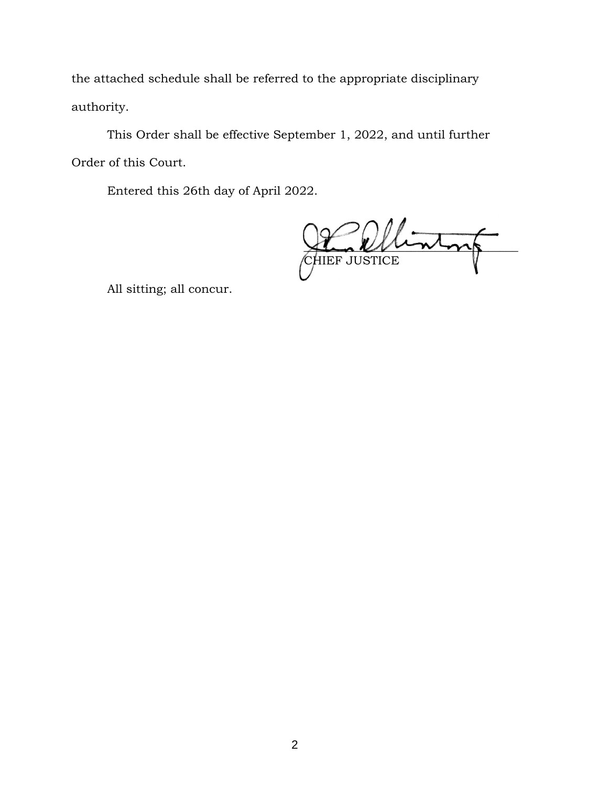the attached schedule shall be referred to the appropriate disciplinary authority.

This Order shall be effective September 1, 2022, and until further Order of this Court.

Entered this 26th day of April 2022.

 $m/m$ CHIEF JUSTICE

All sitting; all concur.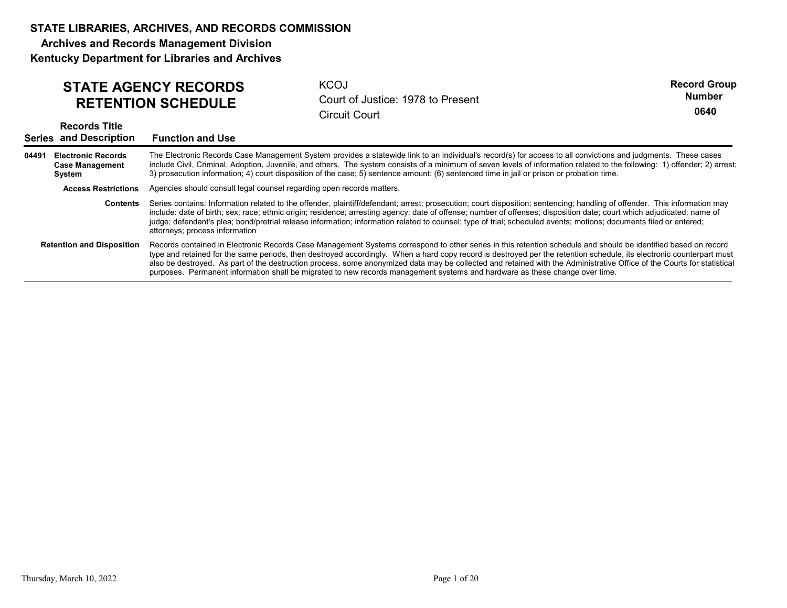Archives and Records Management Division

Kentucky Department for Libraries and Archives

| <b>STATE AGENCY RECORDS</b> | КC |
|-----------------------------|----|
| <b>RETENTION SCHEDULE</b>   | Co |

**KCOJ** RETENTION SCHEDULE Court of Justice: 1978 to Present Circuit Court

Record Group 0640 Number

|       | <b>Records Title</b><br><b>Series and Description</b>         | <b>Function and Use</b>                                                                                                                                                                                                                                                                                                                                                                                                                                                                                                                                                                                                                         |
|-------|---------------------------------------------------------------|-------------------------------------------------------------------------------------------------------------------------------------------------------------------------------------------------------------------------------------------------------------------------------------------------------------------------------------------------------------------------------------------------------------------------------------------------------------------------------------------------------------------------------------------------------------------------------------------------------------------------------------------------|
| 04491 | <b>Electronic Records</b><br><b>Case Management</b><br>System | The Electronic Records Case Management System provides a statewide link to an individual's record(s) for access to all convictions and judgments. These cases<br>include Civil, Criminal, Adoption, Juvenile, and others. The system consists of a minimum of seven levels of information related to the following: 1) offender; 2) arrest;<br>3) prosecution information; 4) court disposition of the case; 5) sentence amount; (6) sentenced time in jail or prison or probation time.                                                                                                                                                        |
|       | <b>Access Restrictions</b>                                    | Agencies should consult legal counsel regarding open records matters.                                                                                                                                                                                                                                                                                                                                                                                                                                                                                                                                                                           |
|       | <b>Contents</b>                                               | Series contains: Information related to the offender, plaintiff/defendant; arrest; prosecution; court disposition; sentencing; handling of offender. This information may<br>include: date of birth; sex; race; ethnic origin; residence; arresting agency; date of offense; number of offenses; disposition date; court which adjudicated; name of<br>judge; defendant's plea; bond/pretrial release information; information related to counsel; type of trial; scheduled events; motions; documents filed or entered;<br>attorneys; process information                                                                                      |
|       | <b>Retention and Disposition</b>                              | Records contained in Electronic Records Case Management Systems correspond to other series in this retention schedule and should be identified based on record<br>type and retained for the same periods, then destroyed accordingly. When a hard copy record is destroyed per the retention schedule, its electronic counterpart must<br>also be destroyed. As part of the destruction process, some anonymized data may be collected and retained with the Administrative Office of the Courts for statistical<br>purposes. Permanent information shall be migrated to new records management systems and hardware as these change over time. |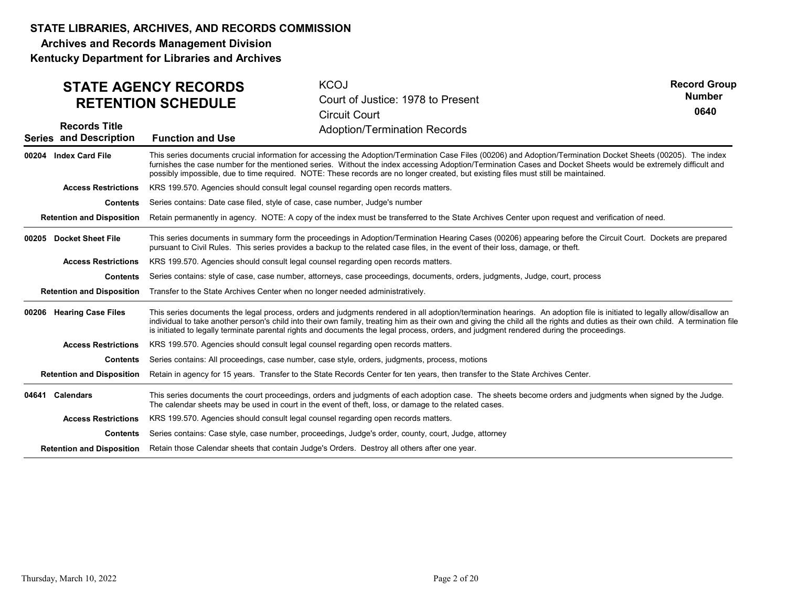Archives and Records Management Division Kentucky Department for Libraries and Archives

KCOJ Court of Justice: 1978 to Present Circuit Court **Function and Use Adoption/Termination Records** Records Title Series and Description STATE AGENCY RECORDS RETENTION SCHEDULE Record Group 0640 Number This series documents crucial information for accessing the Adoption/Termination Case Files (00206) and Adoption/Termination Docket Sheets (00205). The index furnishes the case number for the mentioned series. Without the index accessing Adoption/Termination Cases and Docket Sheets would be extremely difficult and possibly impossible, due to time required. NOTE: These records are no longer created, but existing files must still be maintained. **Contents** Series contains: Date case filed, style of case, case number, Judge's number Retention and Disposition Retain permanently in agency. NOTE: A copy of the index must be transferred to the State Archives Center upon request and verification of need. 00204 Index Card File Access Restrictions KRS 199.570. Agencies should consult legal counsel regarding open records matters. This series documents in summary form the proceedings in Adoption/Termination Hearing Cases (00206) appearing before the Circuit Court. Dockets are prepared pursuant to Civil Rules. This series provides a backup to the related case files, in the event of their loss, damage, or theft. Contents Series contains: style of case, case number, attorneys, case proceedings, documents, orders, judgments, Judge, court, process Retention and Disposition Transfer to the State Archives Center when no longer needed administratively. 00205 Docket Sheet File Access Restrictions KRS 199.570. Agencies should consult legal counsel regarding open records matters. This series documents the legal process, orders and judgments rendered in all adoption/termination hearings. An adoption file is initiated to legally allow/disallow an individual to take another person's child into their own family, treating him as their own and giving the child all the rights and duties as their own child. A termination file is initiated to legally terminate parental rights and documents the legal process, orders, and judgment rendered during the proceedings. **Contents** Series contains: All proceedings, case number, case style, orders, judgments, process, motions Retention and Disposition Retain in agency for 15 years. Transfer to the State Records Center for ten years, then transfer to the State Archives Center. 00206 Hearing Case Files Access Restrictions KRS 199.570. Agencies should consult legal counsel regarding open records matters. 04641 Calendars This series documents the court proceedings, orders and judgments of each adoption case. The sheets become orders and judgments when signed by the Judge. The calendar sheets may be used in court in the event of theft, loss, or damage to the related cases. Contents Series contains: Case style, case number, proceedings, Judge's order, county, court, Judge, attorney Retention and Disposition Retain those Calendar sheets that contain Judge's Orders. Destroy all others after one year. Access Restrictions KRS 199.570. Agencies should consult legal counsel regarding open records matters. metroman tanks another present of and mix here over a control in the state of the matter of the state of the state of the state of the state of the state of the state of the state of the state of the state of the state and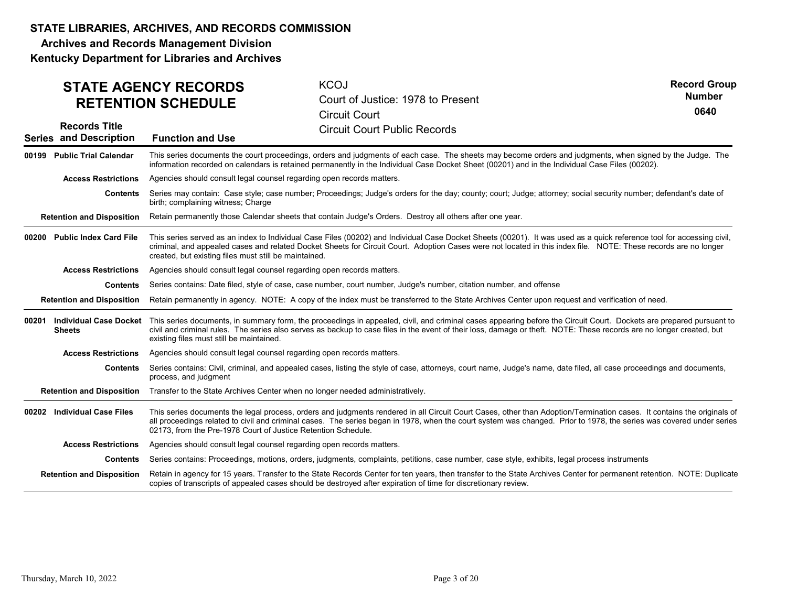Archives and Records Management Division

|       |                                                       | <b>STATE AGENCY RECORDS</b><br><b>RETENTION SCHEDULE</b>                                                                                                                                                                                                                                                                                                                                                       | <b>KCOJ</b><br>Court of Justice: 1978 to Present<br><b>Circuit Court</b>                                                                                                                                                                                                                                                                       | <b>Record Group</b><br><b>Number</b><br>0640 |  |  |
|-------|-------------------------------------------------------|----------------------------------------------------------------------------------------------------------------------------------------------------------------------------------------------------------------------------------------------------------------------------------------------------------------------------------------------------------------------------------------------------------------|------------------------------------------------------------------------------------------------------------------------------------------------------------------------------------------------------------------------------------------------------------------------------------------------------------------------------------------------|----------------------------------------------|--|--|
|       | <b>Records Title</b><br><b>Series and Description</b> | <b>Function and Use</b>                                                                                                                                                                                                                                                                                                                                                                                        | <b>Circuit Court Public Records</b>                                                                                                                                                                                                                                                                                                            |                                              |  |  |
|       | 00199 Public Trial Calendar                           |                                                                                                                                                                                                                                                                                                                                                                                                                | This series documents the court proceedings, orders and judgments of each case. The sheets may become orders and judgments, when signed by the Judge. The<br>information recorded on calendars is retained permanently in the Individual Case Docket Sheet (00201) and in the Individual Case Files (00202).                                   |                                              |  |  |
|       | <b>Access Restrictions</b>                            | Agencies should consult legal counsel regarding open records matters.                                                                                                                                                                                                                                                                                                                                          |                                                                                                                                                                                                                                                                                                                                                |                                              |  |  |
|       | <b>Contents</b>                                       | birth: complaining witness: Charge                                                                                                                                                                                                                                                                                                                                                                             | Series may contain: Case style; case number; Proceedings; Judge's orders for the day; county; court; Judge; attorney; social security number; defendant's date of                                                                                                                                                                              |                                              |  |  |
|       | <b>Retention and Disposition</b>                      |                                                                                                                                                                                                                                                                                                                                                                                                                | Retain permanently those Calendar sheets that contain Judge's Orders. Destroy all others after one year.                                                                                                                                                                                                                                       |                                              |  |  |
|       | 00200 Public Index Card File                          | This series served as an index to Individual Case Files (00202) and Individual Case Docket Sheets (00201). It was used as a quick reference tool for accessing civil,<br>criminal, and appealed cases and related Docket Sheets for Circuit Court. Adoption Cases were not located in this index file. NOTE: These records are no longer<br>created, but existing files must still be maintained.              |                                                                                                                                                                                                                                                                                                                                                |                                              |  |  |
|       | <b>Access Restrictions</b>                            | Agencies should consult legal counsel regarding open records matters.                                                                                                                                                                                                                                                                                                                                          |                                                                                                                                                                                                                                                                                                                                                |                                              |  |  |
|       | <b>Contents</b>                                       |                                                                                                                                                                                                                                                                                                                                                                                                                | Series contains: Date filed, style of case, case number, court number, Judge's number, citation number, and offense                                                                                                                                                                                                                            |                                              |  |  |
|       | <b>Retention and Disposition</b>                      |                                                                                                                                                                                                                                                                                                                                                                                                                | Retain permanently in agency. NOTE: A copy of the index must be transferred to the State Archives Center upon request and verification of need.                                                                                                                                                                                                |                                              |  |  |
| 00201 | Sheets                                                | Individual Case Docket This series documents, in summary form, the proceedings in appealed, civil, and criminal cases appearing before the Circuit Court. Dockets are prepared pursuant to<br>civil and criminal rules. The series also serves as backup to case files in the event of their loss, damage or theft. NOTE: These records are no longer created, but<br>existing files must still be maintained. |                                                                                                                                                                                                                                                                                                                                                |                                              |  |  |
|       | <b>Access Restrictions</b>                            | Agencies should consult legal counsel regarding open records matters.                                                                                                                                                                                                                                                                                                                                          |                                                                                                                                                                                                                                                                                                                                                |                                              |  |  |
|       | Contents                                              | process, and judgment                                                                                                                                                                                                                                                                                                                                                                                          | Series contains: Civil, criminal, and appealed cases, listing the style of case, attorneys, court name, Judge's name, date filed, all case proceedings and documents,                                                                                                                                                                          |                                              |  |  |
|       |                                                       | Retention and Disposition Transfer to the State Archives Center when no longer needed administratively.                                                                                                                                                                                                                                                                                                        |                                                                                                                                                                                                                                                                                                                                                |                                              |  |  |
|       | 00202 Individual Case Files                           | 02173, from the Pre-1978 Court of Justice Retention Schedule.                                                                                                                                                                                                                                                                                                                                                  | This series documents the legal process, orders and judgments rendered in all Circuit Court Cases, other than Adoption/Termination cases. It contains the originals of<br>all proceedings related to civil and criminal cases. The series began in 1978, when the court system was changed. Prior to 1978, the series was covered under series |                                              |  |  |
|       | <b>Access Restrictions</b>                            | Agencies should consult legal counsel regarding open records matters.                                                                                                                                                                                                                                                                                                                                          |                                                                                                                                                                                                                                                                                                                                                |                                              |  |  |
|       | Contents                                              |                                                                                                                                                                                                                                                                                                                                                                                                                | Series contains: Proceedings, motions, orders, judgments, complaints, petitions, case number, case style, exhibits, legal process instruments                                                                                                                                                                                                  |                                              |  |  |
|       | <b>Retention and Disposition</b>                      |                                                                                                                                                                                                                                                                                                                                                                                                                | Retain in agency for 15 years. Transfer to the State Records Center for ten years, then transfer to the State Archives Center for permanent retention. NOTE: Duplicate<br>copies of transcripts of appealed cases should be destroyed after expiration of time for discretionary review.                                                       |                                              |  |  |
|       |                                                       |                                                                                                                                                                                                                                                                                                                                                                                                                |                                                                                                                                                                                                                                                                                                                                                |                                              |  |  |
|       | Thursday, March 10, 2022                              |                                                                                                                                                                                                                                                                                                                                                                                                                | Page 3 of 20                                                                                                                                                                                                                                                                                                                                   |                                              |  |  |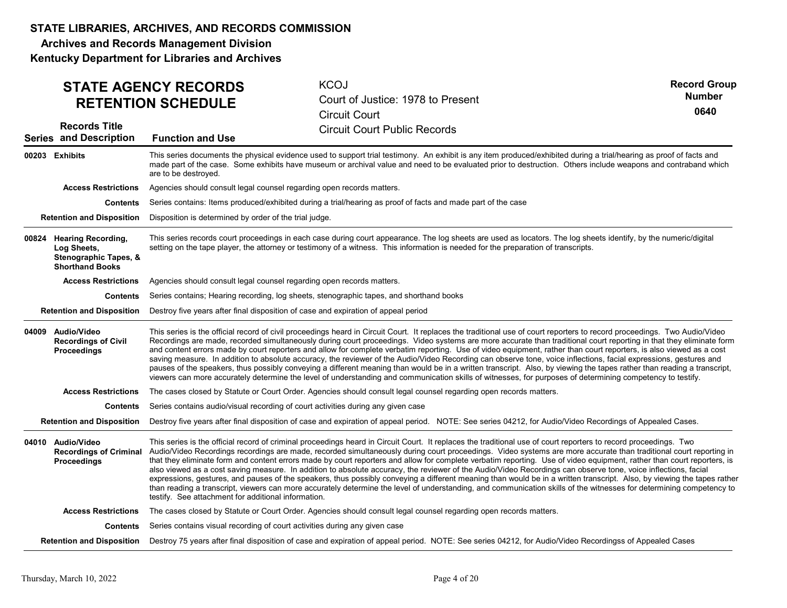Archives and Records Management Division

|                                                                                            | <b>STATE AGENCY RECORDS</b><br><b>RETENTION SCHEDULE</b>                                   | <b>KCOJ</b><br>Court of Justice: 1978 to Present<br><b>Circuit Court</b>                                                                                                                                                                                                                                                                                                                                                                                                                                                                                                                                                                                                                                                                                                                                                                                                                                                                                                                                                              | <b>Record Group</b><br><b>Number</b><br>0640 |
|--------------------------------------------------------------------------------------------|--------------------------------------------------------------------------------------------|---------------------------------------------------------------------------------------------------------------------------------------------------------------------------------------------------------------------------------------------------------------------------------------------------------------------------------------------------------------------------------------------------------------------------------------------------------------------------------------------------------------------------------------------------------------------------------------------------------------------------------------------------------------------------------------------------------------------------------------------------------------------------------------------------------------------------------------------------------------------------------------------------------------------------------------------------------------------------------------------------------------------------------------|----------------------------------------------|
| <b>Records Title</b><br><b>Series and Description</b>                                      | <b>Function and Use</b>                                                                    | <b>Circuit Court Public Records</b>                                                                                                                                                                                                                                                                                                                                                                                                                                                                                                                                                                                                                                                                                                                                                                                                                                                                                                                                                                                                   |                                              |
| 00203 Exhibits                                                                             | are to be destroyed.                                                                       | This series documents the physical evidence used to support trial testimony. An exhibit is any item produced/exhibited during a trial/hearing as proof of facts and<br>made part of the case. Some exhibits have museum or archival value and need to be evaluated prior to destruction. Others include weapons and contraband which                                                                                                                                                                                                                                                                                                                                                                                                                                                                                                                                                                                                                                                                                                  |                                              |
| <b>Access Restrictions</b>                                                                 | Agencies should consult legal counsel regarding open records matters.                      |                                                                                                                                                                                                                                                                                                                                                                                                                                                                                                                                                                                                                                                                                                                                                                                                                                                                                                                                                                                                                                       |                                              |
| <b>Contents</b>                                                                            |                                                                                            | Series contains: Items produced/exhibited during a trial/hearing as proof of facts and made part of the case                                                                                                                                                                                                                                                                                                                                                                                                                                                                                                                                                                                                                                                                                                                                                                                                                                                                                                                          |                                              |
| <b>Retention and Disposition</b>                                                           | Disposition is determined by order of the trial judge.                                     |                                                                                                                                                                                                                                                                                                                                                                                                                                                                                                                                                                                                                                                                                                                                                                                                                                                                                                                                                                                                                                       |                                              |
| 00824 Hearing Recording,<br>Log Sheets,<br>Stenographic Tapes, &<br><b>Shorthand Books</b> |                                                                                            | This series records court proceedings in each case during court appearance. The log sheets are used as locators. The log sheets identify, by the numeric/digital<br>setting on the tape player, the attorney or testimony of a witness. This information is needed for the preparation of transcripts.                                                                                                                                                                                                                                                                                                                                                                                                                                                                                                                                                                                                                                                                                                                                |                                              |
| <b>Access Restrictions</b>                                                                 | Agencies should consult legal counsel regarding open records matters.                      |                                                                                                                                                                                                                                                                                                                                                                                                                                                                                                                                                                                                                                                                                                                                                                                                                                                                                                                                                                                                                                       |                                              |
| <b>Contents</b>                                                                            |                                                                                            | Series contains; Hearing recording, log sheets, stenographic tapes, and shorthand books                                                                                                                                                                                                                                                                                                                                                                                                                                                                                                                                                                                                                                                                                                                                                                                                                                                                                                                                               |                                              |
| <b>Retention and Disposition</b>                                                           |                                                                                            | Destroy five years after final disposition of case and expiration of appeal period                                                                                                                                                                                                                                                                                                                                                                                                                                                                                                                                                                                                                                                                                                                                                                                                                                                                                                                                                    |                                              |
| 04009 Audio/Video<br><b>Recordings of Civil</b><br>Proceedings                             |                                                                                            | This series is the official record of civil proceedings heard in Circuit Court. It replaces the traditional use of court reporters to record proceedings. Two Audio/Video<br>Recordings are made, recorded simultaneously during court proceedings. Video systems are more accurate than traditional court reporting in that they eliminate form<br>and content errors made by court reporters and allow for complete verbatim reporting. Use of video equipment, rather than court reporters, is also viewed as a cost<br>saving measure. In addition to absolute accuracy, the reviewer of the Audio/Video Recording can observe tone, voice inflections, facial expressions, gestures and<br>pauses of the speakers, thus possibly conveying a different meaning than would be in a written transcript. Also, by viewing the tapes rather than reading a transcript,<br>viewers can more accurately determine the level of understanding and communication skills of witnesses, for purposes of determining competency to testify. |                                              |
| <b>Access Restrictions</b>                                                                 |                                                                                            | The cases closed by Statute or Court Order. Agencies should consult legal counsel regarding open records matters.                                                                                                                                                                                                                                                                                                                                                                                                                                                                                                                                                                                                                                                                                                                                                                                                                                                                                                                     |                                              |
| Contents                                                                                   |                                                                                            | Series contains audio/visual recording of court activities during any given case                                                                                                                                                                                                                                                                                                                                                                                                                                                                                                                                                                                                                                                                                                                                                                                                                                                                                                                                                      |                                              |
| <b>Retention and Disposition</b>                                                           |                                                                                            | Destroy five years after final disposition of case and expiration of appeal period. NOTE: See series 04212, for Audio/Video Recordings of Appealed Cases.                                                                                                                                                                                                                                                                                                                                                                                                                                                                                                                                                                                                                                                                                                                                                                                                                                                                             |                                              |
| 04010 Audio/Video<br><b>Recordings of Criminal</b><br>Proceedings                          | testify. See attachment for additional information.                                        | This series is the official record of criminal proceedings heard in Circuit Court. It replaces the traditional use of court reporters to record proceedings. Two<br>Audio/Video Recordings recordings are made, recorded simultaneously during court proceedings. Video systems are more accurate than traditional court reporting in<br>that they eliminate form and content errors made by court reporters and allow for complete verbatim reporting. Use of video equipment, rather than court reporters, is<br>also viewed as a cost saving measure. In addition to absolute accuracy, the reviewer of the Audio/Video Recordings can observe tone, voice inflections, facial<br>expressions, gestures, and pauses of the speakers, thus possibly conveying a different meaning than would be in a written transcript. Also, by viewing the tapes rather<br>than reading a transcript, viewers can more accurately determine the level of understanding, and communication skills of the witnesses for determining competency to  |                                              |
| <b>Access Restrictions</b>                                                                 |                                                                                            | The cases closed by Statute or Court Order. Agencies should consult legal counsel regarding open records matters.                                                                                                                                                                                                                                                                                                                                                                                                                                                                                                                                                                                                                                                                                                                                                                                                                                                                                                                     |                                              |
|                                                                                            | <b>Contents</b> Series contains visual recording of court activities during any given case |                                                                                                                                                                                                                                                                                                                                                                                                                                                                                                                                                                                                                                                                                                                                                                                                                                                                                                                                                                                                                                       |                                              |
| <b>Retention and Disposition</b>                                                           |                                                                                            | Destroy 75 years after final disposition of case and expiration of appeal period. NOTE: See series 04212, for Audio/Video Recordingss of Appealed Cases                                                                                                                                                                                                                                                                                                                                                                                                                                                                                                                                                                                                                                                                                                                                                                                                                                                                               |                                              |
|                                                                                            |                                                                                            |                                                                                                                                                                                                                                                                                                                                                                                                                                                                                                                                                                                                                                                                                                                                                                                                                                                                                                                                                                                                                                       |                                              |
| Thursday, March 10, 2022                                                                   |                                                                                            | Page 4 of 20                                                                                                                                                                                                                                                                                                                                                                                                                                                                                                                                                                                                                                                                                                                                                                                                                                                                                                                                                                                                                          |                                              |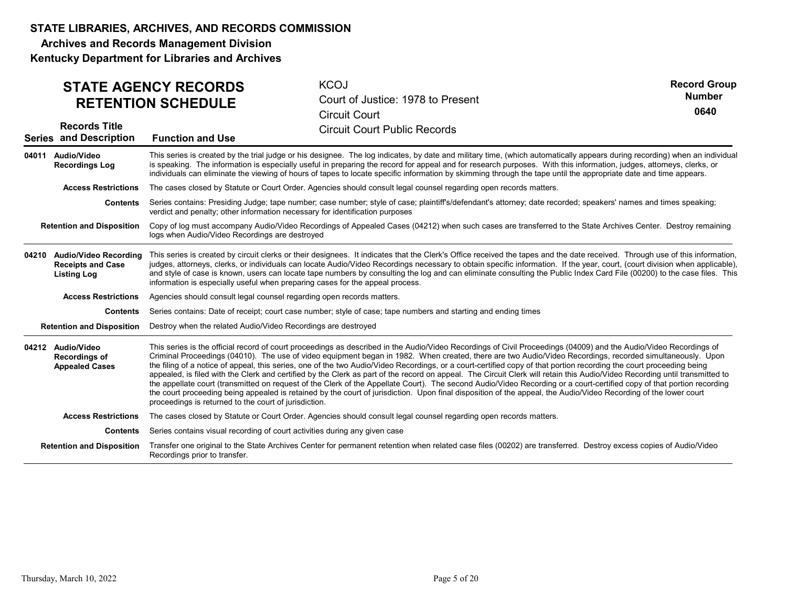Archives and Records Management Division

| <b>STATE AGENCY RECORDS</b><br><b>RETENTION SCHEDULE</b>                      |                                                                                                                                                                                                                                                                                                                                                                                                                                                                                                                                                                                                                         | <b>KCOJ</b><br>Court of Justice: 1978 to Present<br><b>Circuit Court</b>                                                                                                                                                                                                                                                                                                                                                                                                                                                                                                                                                                                                                                                                                                                                                                                                                                                                                                                                                            | <b>Record Group</b><br><b>Number</b><br>0640 |  |  |
|-------------------------------------------------------------------------------|-------------------------------------------------------------------------------------------------------------------------------------------------------------------------------------------------------------------------------------------------------------------------------------------------------------------------------------------------------------------------------------------------------------------------------------------------------------------------------------------------------------------------------------------------------------------------------------------------------------------------|-------------------------------------------------------------------------------------------------------------------------------------------------------------------------------------------------------------------------------------------------------------------------------------------------------------------------------------------------------------------------------------------------------------------------------------------------------------------------------------------------------------------------------------------------------------------------------------------------------------------------------------------------------------------------------------------------------------------------------------------------------------------------------------------------------------------------------------------------------------------------------------------------------------------------------------------------------------------------------------------------------------------------------------|----------------------------------------------|--|--|
| <b>Records Title</b><br><b>Series and Description</b>                         | <b>Function and Use</b>                                                                                                                                                                                                                                                                                                                                                                                                                                                                                                                                                                                                 | <b>Circuit Court Public Records</b>                                                                                                                                                                                                                                                                                                                                                                                                                                                                                                                                                                                                                                                                                                                                                                                                                                                                                                                                                                                                 |                                              |  |  |
| 04011 Audio/Video<br><b>Recordings Log</b>                                    |                                                                                                                                                                                                                                                                                                                                                                                                                                                                                                                                                                                                                         | This series is created by the trial judge or his designee. The log indicates, by date and military time, (which automatically appears during recording) when an individual<br>is speaking. The information is especially useful in preparing the record for appeal and for research purposes. With this information, judges, attorneys, clerks, or<br>individuals can eliminate the viewing of hours of tapes to locate specific information by skimming through the tape until the appropriate date and time appears.                                                                                                                                                                                                                                                                                                                                                                                                                                                                                                              |                                              |  |  |
| <b>Access Restrictions</b>                                                    |                                                                                                                                                                                                                                                                                                                                                                                                                                                                                                                                                                                                                         | The cases closed by Statute or Court Order. Agencies should consult legal counsel regarding open records matters.                                                                                                                                                                                                                                                                                                                                                                                                                                                                                                                                                                                                                                                                                                                                                                                                                                                                                                                   |                                              |  |  |
|                                                                               |                                                                                                                                                                                                                                                                                                                                                                                                                                                                                                                                                                                                                         | Contents Series contains: Presiding Judge; tape number; case number; style of case; plaintiff's/defendant's attorney; date recorded; speakers' names and times speaking;<br>verdict and penalty; other information necessary for identification purposes                                                                                                                                                                                                                                                                                                                                                                                                                                                                                                                                                                                                                                                                                                                                                                            |                                              |  |  |
| <b>Retention and Disposition</b>                                              | logs when Audio/Video Recordings are destroyed                                                                                                                                                                                                                                                                                                                                                                                                                                                                                                                                                                          | Copy of log must accompany Audio/Video Recordings of Appealed Cases (04212) when such cases are transferred to the State Archives Center. Destroy remaining                                                                                                                                                                                                                                                                                                                                                                                                                                                                                                                                                                                                                                                                                                                                                                                                                                                                         |                                              |  |  |
| 04210 Audio/Video Recording<br><b>Receipts and Case</b><br><b>Listing Log</b> | This series is created by circuit clerks or their designees. It indicates that the Clerk's Office received the tapes and the date received. Through use of this information,<br>judges, attorneys, clerks, or individuals can locate Audio/Video Recordings necessary to obtain specific information. If the year, court, (court division when applicable),<br>and style of case is known, users can locate tape numbers by consulting the log and can eliminate consulting the Public Index Card File (00200) to the case files. This<br>information is especially useful when preparing cases for the appeal process. |                                                                                                                                                                                                                                                                                                                                                                                                                                                                                                                                                                                                                                                                                                                                                                                                                                                                                                                                                                                                                                     |                                              |  |  |
| <b>Access Restrictions</b>                                                    | Agencies should consult legal counsel regarding open records matters.                                                                                                                                                                                                                                                                                                                                                                                                                                                                                                                                                   |                                                                                                                                                                                                                                                                                                                                                                                                                                                                                                                                                                                                                                                                                                                                                                                                                                                                                                                                                                                                                                     |                                              |  |  |
| <b>Contents</b>                                                               |                                                                                                                                                                                                                                                                                                                                                                                                                                                                                                                                                                                                                         | Series contains: Date of receipt; court case number; style of case; tape numbers and starting and ending times                                                                                                                                                                                                                                                                                                                                                                                                                                                                                                                                                                                                                                                                                                                                                                                                                                                                                                                      |                                              |  |  |
| <b>Retention and Disposition</b>                                              | Destroy when the related Audio/Video Recordings are destroyed                                                                                                                                                                                                                                                                                                                                                                                                                                                                                                                                                           |                                                                                                                                                                                                                                                                                                                                                                                                                                                                                                                                                                                                                                                                                                                                                                                                                                                                                                                                                                                                                                     |                                              |  |  |
| 04212 Audio/Video<br>Recordings of<br><b>Appealed Cases</b>                   | proceedings is returned to the court of jurisdiction.                                                                                                                                                                                                                                                                                                                                                                                                                                                                                                                                                                   | This series is the official record of court proceedings as described in the Audio/Video Recordings of Civil Proceedings (04009) and the Audio/Video Recordings of<br>Criminal Proceedings (04010). The use of video equipment began in 1982. When created, there are two Audio/Video Recordings, recorded simultaneously. Upon<br>the filing of a notice of appeal, this series, one of the two Audio/Video Recordings, or a court-certified copy of that portion recording the court proceeding being<br>appealed, is filed with the Clerk and certified by the Clerk as part of the record on appeal. The Circuit Clerk will retain this Audio/Video Recording until transmitted to<br>the appellate court (transmitted on request of the Clerk of the Appellate Court). The second Audio/Video Recording or a court-certified copy of that portion recording<br>the court proceeding being appealed is retained by the court of jurisdiction. Upon final disposition of the appeal, the Audio/Video Recording of the lower court |                                              |  |  |
| <b>Access Restrictions</b>                                                    |                                                                                                                                                                                                                                                                                                                                                                                                                                                                                                                                                                                                                         | The cases closed by Statute or Court Order. Agencies should consult legal counsel regarding open records matters.                                                                                                                                                                                                                                                                                                                                                                                                                                                                                                                                                                                                                                                                                                                                                                                                                                                                                                                   |                                              |  |  |
| Contents                                                                      | Series contains visual recording of court activities during any given case                                                                                                                                                                                                                                                                                                                                                                                                                                                                                                                                              |                                                                                                                                                                                                                                                                                                                                                                                                                                                                                                                                                                                                                                                                                                                                                                                                                                                                                                                                                                                                                                     |                                              |  |  |
| <b>Retention and Disposition</b>                                              | Recordings prior to transfer.                                                                                                                                                                                                                                                                                                                                                                                                                                                                                                                                                                                           | Transfer one original to the State Archives Center for permanent retention when related case files (00202) are transferred. Destroy excess copies of Audio/Video                                                                                                                                                                                                                                                                                                                                                                                                                                                                                                                                                                                                                                                                                                                                                                                                                                                                    |                                              |  |  |
|                                                                               |                                                                                                                                                                                                                                                                                                                                                                                                                                                                                                                                                                                                                         |                                                                                                                                                                                                                                                                                                                                                                                                                                                                                                                                                                                                                                                                                                                                                                                                                                                                                                                                                                                                                                     |                                              |  |  |
| Thursday, March 10, 2022                                                      |                                                                                                                                                                                                                                                                                                                                                                                                                                                                                                                                                                                                                         | Page 5 of 20                                                                                                                                                                                                                                                                                                                                                                                                                                                                                                                                                                                                                                                                                                                                                                                                                                                                                                                                                                                                                        |                                              |  |  |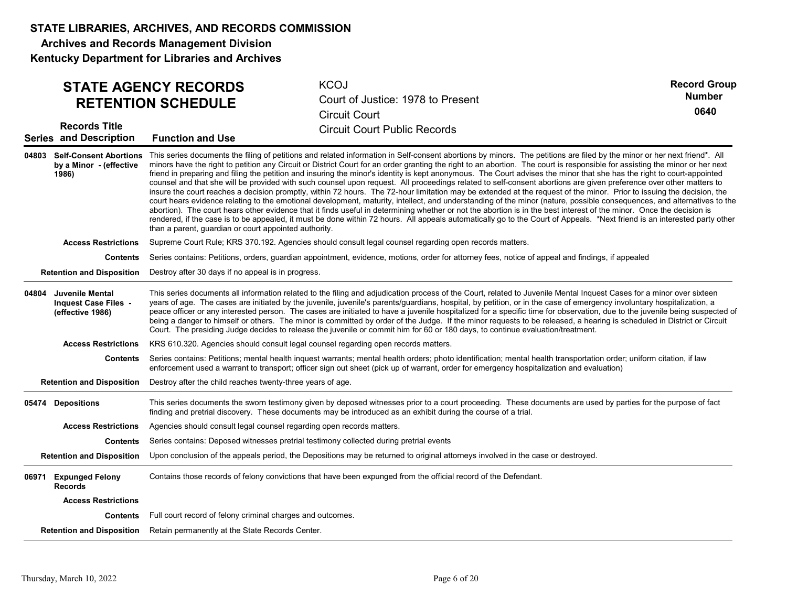Archives and Records Management Division

|       | <b>Records Title</b><br><b>Series and Description</b>              | <b>STATE AGENCY RECORDS</b><br><b>RETENTION SCHEDULE</b><br><b>Function and Use</b>  | <b>KCOJ</b><br>Court of Justice: 1978 to Present<br><b>Circuit Court</b><br><b>Circuit Court Public Records</b>                                                                                                                                                                                                                                                                                                                                                                                                                                                                                                                                                                                                                                                                                                                                                                                                                                                                                                                                                                                                                                                                                                                                                                                                                                                                                                                                | <b>Record Group</b><br><b>Number</b><br>0640 |
|-------|--------------------------------------------------------------------|--------------------------------------------------------------------------------------|------------------------------------------------------------------------------------------------------------------------------------------------------------------------------------------------------------------------------------------------------------------------------------------------------------------------------------------------------------------------------------------------------------------------------------------------------------------------------------------------------------------------------------------------------------------------------------------------------------------------------------------------------------------------------------------------------------------------------------------------------------------------------------------------------------------------------------------------------------------------------------------------------------------------------------------------------------------------------------------------------------------------------------------------------------------------------------------------------------------------------------------------------------------------------------------------------------------------------------------------------------------------------------------------------------------------------------------------------------------------------------------------------------------------------------------------|----------------------------------------------|
|       | by a Minor - (effective<br>1986)                                   | than a parent, guardian or court appointed authority.                                | 04803 Self-Consent Abortions This series documents the filing of petitions and related information in Self-consent abortions by minors. The petitions are filed by the minor or her next friend*. All<br>minors have the right to petition any Circuit or District Court for an order granting the right to an abortion. The court is responsible for assisting the minor or her next<br>friend in preparing and filing the petition and insuring the minor's identity is kept anonymous. The Court advises the minor that she has the right to court-appointed<br>counsel and that she will be provided with such counsel upon request. All proceedings related to self-consent abortions are given preference over other matters to<br>insure the court reaches a decision promptly, within 72 hours. The 72-hour limitation may be extended at the request of the minor. Prior to issuing the decision, the<br>court hears evidence relating to the emotional development, maturity, intellect, and understanding of the minor (nature, possible consequences, and alternatives to the<br>abortion). The court hears other evidence that it finds useful in determining whether or not the abortion is in the best interest of the minor. Once the decision is<br>rendered, if the case is to be appealed, it must be done within 72 hours. All appeals automatically go to the Court of Appeals. *Next friend is an interested party other |                                              |
|       | <b>Access Restrictions</b>                                         |                                                                                      | Supreme Court Rule; KRS 370.192. Agencies should consult legal counsel regarding open records matters.                                                                                                                                                                                                                                                                                                                                                                                                                                                                                                                                                                                                                                                                                                                                                                                                                                                                                                                                                                                                                                                                                                                                                                                                                                                                                                                                         |                                              |
|       | <b>Contents</b>                                                    |                                                                                      | Series contains: Petitions, orders, guardian appointment, evidence, motions, order for attorney fees, notice of appeal and findings, if appealed                                                                                                                                                                                                                                                                                                                                                                                                                                                                                                                                                                                                                                                                                                                                                                                                                                                                                                                                                                                                                                                                                                                                                                                                                                                                                               |                                              |
|       | <b>Retention and Disposition</b>                                   | Destroy after 30 days if no appeal is in progress.                                   |                                                                                                                                                                                                                                                                                                                                                                                                                                                                                                                                                                                                                                                                                                                                                                                                                                                                                                                                                                                                                                                                                                                                                                                                                                                                                                                                                                                                                                                |                                              |
| 04804 | Juvenile Mental<br><b>Inquest Case Files -</b><br>(effective 1986) |                                                                                      | This series documents all information related to the filing and adjudication process of the Court, related to Juvenile Mental Inquest Cases for a minor over sixteen<br>years of age. The cases are initiated by the juvenile, juvenile's parents/guardians, hospital, by petition, or in the case of emergency involuntary hospitalization, a<br>peace officer or any interested person. The cases are initiated to have a juvenile hospitalized for a specific time for observation, due to the juvenile being suspected of<br>being a danger to himself or others. The minor is committed by order of the Judge. If the minor requests to be released, a hearing is scheduled in District or Circuit<br>Court. The presiding Judge decides to release the juvenile or commit him for 60 or 180 days, to continue evaluation/treatment.                                                                                                                                                                                                                                                                                                                                                                                                                                                                                                                                                                                                      |                                              |
|       | <b>Access Restrictions</b>                                         |                                                                                      | KRS 610.320. Agencies should consult legal counsel regarding open records matters.                                                                                                                                                                                                                                                                                                                                                                                                                                                                                                                                                                                                                                                                                                                                                                                                                                                                                                                                                                                                                                                                                                                                                                                                                                                                                                                                                             |                                              |
|       | Contents                                                           |                                                                                      | Series contains: Petitions; mental health inquest warrants; mental health orders; photo identification; mental health transportation order; uniform citation, if law<br>enforcement used a warrant to transport; officer sign out sheet (pick up of warrant, order for emergency hospitalization and evaluation)                                                                                                                                                                                                                                                                                                                                                                                                                                                                                                                                                                                                                                                                                                                                                                                                                                                                                                                                                                                                                                                                                                                               |                                              |
|       |                                                                    | Retention and Disposition Destroy after the child reaches twenty-three years of age. |                                                                                                                                                                                                                                                                                                                                                                                                                                                                                                                                                                                                                                                                                                                                                                                                                                                                                                                                                                                                                                                                                                                                                                                                                                                                                                                                                                                                                                                |                                              |
|       | 05474 Depositions                                                  |                                                                                      | This series documents the sworn testimony given by deposed witnesses prior to a court proceeding. These documents are used by parties for the purpose of fact<br>finding and pretrial discovery. These documents may be introduced as an exhibit during the course of a trial.                                                                                                                                                                                                                                                                                                                                                                                                                                                                                                                                                                                                                                                                                                                                                                                                                                                                                                                                                                                                                                                                                                                                                                 |                                              |
|       | <b>Access Restrictions</b>                                         | Agencies should consult legal counsel regarding open records matters.                |                                                                                                                                                                                                                                                                                                                                                                                                                                                                                                                                                                                                                                                                                                                                                                                                                                                                                                                                                                                                                                                                                                                                                                                                                                                                                                                                                                                                                                                |                                              |
|       | Contents                                                           |                                                                                      | Series contains: Deposed witnesses pretrial testimony collected during pretrial events                                                                                                                                                                                                                                                                                                                                                                                                                                                                                                                                                                                                                                                                                                                                                                                                                                                                                                                                                                                                                                                                                                                                                                                                                                                                                                                                                         |                                              |
|       | <b>Retention and Disposition</b>                                   |                                                                                      | Upon conclusion of the appeals period, the Depositions may be returned to original attorneys involved in the case or destroyed.                                                                                                                                                                                                                                                                                                                                                                                                                                                                                                                                                                                                                                                                                                                                                                                                                                                                                                                                                                                                                                                                                                                                                                                                                                                                                                                |                                              |
|       | 06971 Expunged Felony<br><b>Records</b>                            |                                                                                      | Contains those records of felony convictions that have been expunged from the official record of the Defendant.                                                                                                                                                                                                                                                                                                                                                                                                                                                                                                                                                                                                                                                                                                                                                                                                                                                                                                                                                                                                                                                                                                                                                                                                                                                                                                                                |                                              |
|       | <b>Access Restrictions</b>                                         |                                                                                      |                                                                                                                                                                                                                                                                                                                                                                                                                                                                                                                                                                                                                                                                                                                                                                                                                                                                                                                                                                                                                                                                                                                                                                                                                                                                                                                                                                                                                                                |                                              |
|       |                                                                    | <b>Contents</b> Full court record of felony criminal charges and outcomes.           |                                                                                                                                                                                                                                                                                                                                                                                                                                                                                                                                                                                                                                                                                                                                                                                                                                                                                                                                                                                                                                                                                                                                                                                                                                                                                                                                                                                                                                                |                                              |
|       |                                                                    | Retention and Disposition Retain permanently at the State Records Center.            |                                                                                                                                                                                                                                                                                                                                                                                                                                                                                                                                                                                                                                                                                                                                                                                                                                                                                                                                                                                                                                                                                                                                                                                                                                                                                                                                                                                                                                                |                                              |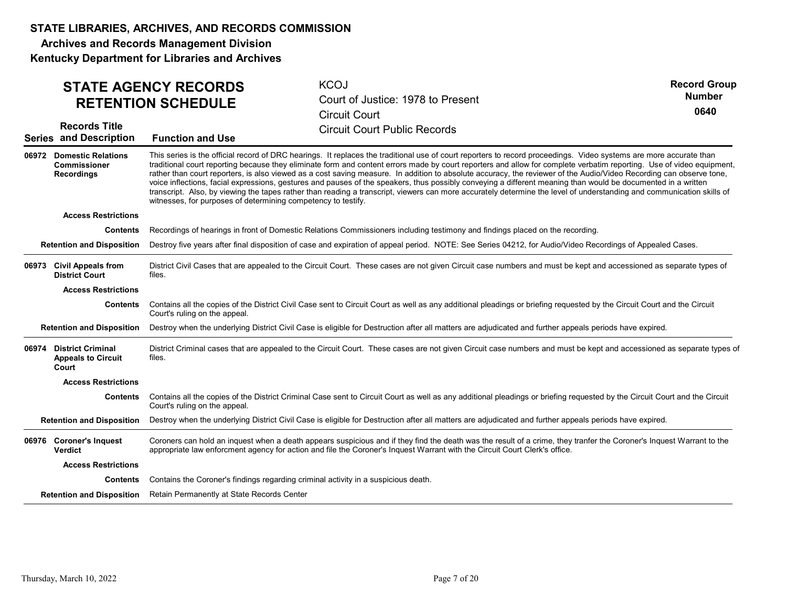Archives and Records Management Division Kentucky Department for Libraries and Archives

| <b>STATE AGENCY RECORDS</b><br><b>RETENTION SCHEDULE</b><br><b>Records Title</b> |                                                                                                                                                                                                                                                                                                                                                                                                                                                                                                                                                                                                                                                                                                                                                                                                                                                                                                                               | <b>KCOJ</b><br>Court of Justice: 1978 to Present<br><b>Circuit Court</b><br><b>Circuit Court Public Records</b>                                                                                                                                                                                    | <b>Record Group</b><br><b>Number</b><br>0640 |  |  |
|----------------------------------------------------------------------------------|-------------------------------------------------------------------------------------------------------------------------------------------------------------------------------------------------------------------------------------------------------------------------------------------------------------------------------------------------------------------------------------------------------------------------------------------------------------------------------------------------------------------------------------------------------------------------------------------------------------------------------------------------------------------------------------------------------------------------------------------------------------------------------------------------------------------------------------------------------------------------------------------------------------------------------|----------------------------------------------------------------------------------------------------------------------------------------------------------------------------------------------------------------------------------------------------------------------------------------------------|----------------------------------------------|--|--|
| <b>Series and Description</b>                                                    | <b>Function and Use</b>                                                                                                                                                                                                                                                                                                                                                                                                                                                                                                                                                                                                                                                                                                                                                                                                                                                                                                       |                                                                                                                                                                                                                                                                                                    |                                              |  |  |
| 06972 Domestic Relations<br>Commissioner<br>Recordings                           | This series is the official record of DRC hearings. It replaces the traditional use of court reporters to record proceedings. Video systems are more accurate than<br>traditional court reporting because they eliminate form and content errors made by court reporters and allow for complete verbatim reporting. Use of video equipment,<br>rather than court reporters, is also viewed as a cost saving measure. In addition to absolute accuracy, the reviewer of the Audio/Video Recording can observe tone,<br>voice inflections, facial expressions, gestures and pauses of the speakers, thus possibly conveying a different meaning than would be documented in a written<br>transcript. Also, by viewing the tapes rather than reading a transcript, viewers can more accurately determine the level of understanding and communication skills of<br>witnesses, for purposes of determining competency to testify. |                                                                                                                                                                                                                                                                                                    |                                              |  |  |
| <b>Access Restrictions</b>                                                       |                                                                                                                                                                                                                                                                                                                                                                                                                                                                                                                                                                                                                                                                                                                                                                                                                                                                                                                               |                                                                                                                                                                                                                                                                                                    |                                              |  |  |
| Contents                                                                         |                                                                                                                                                                                                                                                                                                                                                                                                                                                                                                                                                                                                                                                                                                                                                                                                                                                                                                                               | Recordings of hearings in front of Domestic Relations Commissioners including testimony and findings placed on the recording.                                                                                                                                                                      |                                              |  |  |
| <b>Retention and Disposition</b>                                                 |                                                                                                                                                                                                                                                                                                                                                                                                                                                                                                                                                                                                                                                                                                                                                                                                                                                                                                                               | Destroy five years after final disposition of case and expiration of appeal period. NOTE: See Series 04212, for Audio/Video Recordings of Appealed Cases.                                                                                                                                          |                                              |  |  |
| 06973 Civil Appeals from<br><b>District Court</b>                                | files.                                                                                                                                                                                                                                                                                                                                                                                                                                                                                                                                                                                                                                                                                                                                                                                                                                                                                                                        | District Civil Cases that are appealed to the Circuit Court. These cases are not given Circuit case numbers and must be kept and accessioned as separate types of                                                                                                                                  |                                              |  |  |
| <b>Access Restrictions</b>                                                       |                                                                                                                                                                                                                                                                                                                                                                                                                                                                                                                                                                                                                                                                                                                                                                                                                                                                                                                               |                                                                                                                                                                                                                                                                                                    |                                              |  |  |
| Contents                                                                         | Court's ruling on the appeal.                                                                                                                                                                                                                                                                                                                                                                                                                                                                                                                                                                                                                                                                                                                                                                                                                                                                                                 | Contains all the copies of the District Civil Case sent to Circuit Court as well as any additional pleadings or briefing requested by the Circuit Court and the Circuit                                                                                                                            |                                              |  |  |
| <b>Retention and Disposition</b>                                                 |                                                                                                                                                                                                                                                                                                                                                                                                                                                                                                                                                                                                                                                                                                                                                                                                                                                                                                                               | Destroy when the underlying District Civil Case is eligible for Destruction after all matters are adjudicated and further appeals periods have expired.                                                                                                                                            |                                              |  |  |
| 06974 District Criminal<br><b>Appeals to Circuit</b><br>Court                    | files.                                                                                                                                                                                                                                                                                                                                                                                                                                                                                                                                                                                                                                                                                                                                                                                                                                                                                                                        | District Criminal cases that are appealed to the Circuit Court. These cases are not given Circuit case numbers and must be kept and accessioned as separate types of                                                                                                                               |                                              |  |  |
| <b>Access Restrictions</b>                                                       |                                                                                                                                                                                                                                                                                                                                                                                                                                                                                                                                                                                                                                                                                                                                                                                                                                                                                                                               |                                                                                                                                                                                                                                                                                                    |                                              |  |  |
| <b>Contents</b>                                                                  | Court's ruling on the appeal.                                                                                                                                                                                                                                                                                                                                                                                                                                                                                                                                                                                                                                                                                                                                                                                                                                                                                                 | Contains all the copies of the District Criminal Case sent to Circuit Court as well as any additional pleadings or briefing requested by the Circuit Court and the Circuit                                                                                                                         |                                              |  |  |
| <b>Retention and Disposition</b>                                                 |                                                                                                                                                                                                                                                                                                                                                                                                                                                                                                                                                                                                                                                                                                                                                                                                                                                                                                                               | Destroy when the underlying District Civil Case is eligible for Destruction after all matters are adjudicated and further appeals periods have expired.                                                                                                                                            |                                              |  |  |
| 06976 Coroner's Inquest<br><b>Verdict</b>                                        |                                                                                                                                                                                                                                                                                                                                                                                                                                                                                                                                                                                                                                                                                                                                                                                                                                                                                                                               | Coroners can hold an inquest when a death appears suspicious and if they find the death was the result of a crime, they tranfer the Coroner's Inquest Warrant to the<br>appropriate law enforcment agency for action and file the Coroner's Inquest Warrant with the Circuit Court Clerk's office. |                                              |  |  |
| <b>Access Restrictions</b>                                                       |                                                                                                                                                                                                                                                                                                                                                                                                                                                                                                                                                                                                                                                                                                                                                                                                                                                                                                                               |                                                                                                                                                                                                                                                                                                    |                                              |  |  |
| Contents                                                                         |                                                                                                                                                                                                                                                                                                                                                                                                                                                                                                                                                                                                                                                                                                                                                                                                                                                                                                                               | Contains the Coroner's findings regarding criminal activity in a suspicious death.                                                                                                                                                                                                                 |                                              |  |  |
|                                                                                  | <b>Retention and Disposition</b> Retain Permanently at State Records Center                                                                                                                                                                                                                                                                                                                                                                                                                                                                                                                                                                                                                                                                                                                                                                                                                                                   |                                                                                                                                                                                                                                                                                                    |                                              |  |  |
|                                                                                  |                                                                                                                                                                                                                                                                                                                                                                                                                                                                                                                                                                                                                                                                                                                                                                                                                                                                                                                               |                                                                                                                                                                                                                                                                                                    |                                              |  |  |
|                                                                                  |                                                                                                                                                                                                                                                                                                                                                                                                                                                                                                                                                                                                                                                                                                                                                                                                                                                                                                                               |                                                                                                                                                                                                                                                                                                    |                                              |  |  |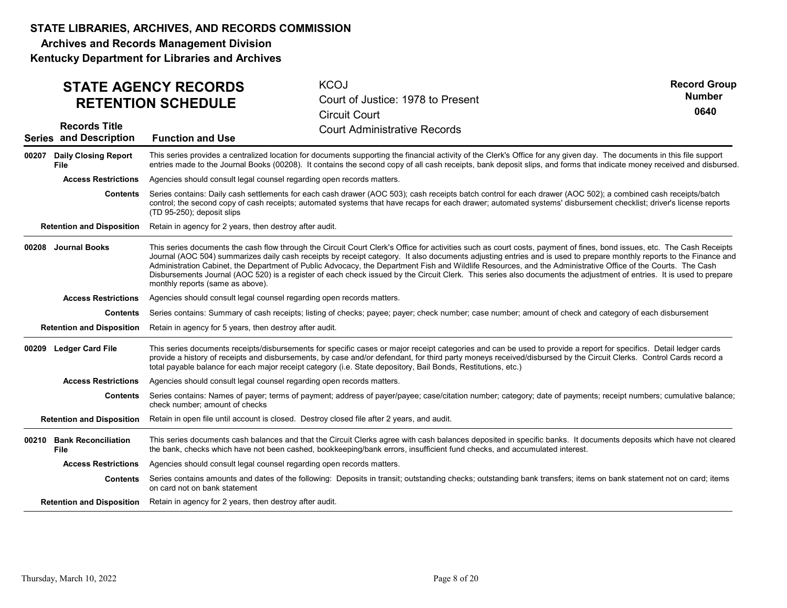Archives and Records Management Division

|                                                       | <b>STATE AGENCY RECORDS</b><br><b>RETENTION SCHEDULE</b>                                                                                                                                                                                                                                                                                                                                                                                                  | <b>KCOJ</b><br>Court of Justice: 1978 to Present<br><b>Circuit Court</b>                                                                                                                                                                                                                                                                                                                                                                                                                                                                                                                                                                                                              | <b>Record Group</b><br><b>Number</b><br>0640 |  |  |
|-------------------------------------------------------|-----------------------------------------------------------------------------------------------------------------------------------------------------------------------------------------------------------------------------------------------------------------------------------------------------------------------------------------------------------------------------------------------------------------------------------------------------------|---------------------------------------------------------------------------------------------------------------------------------------------------------------------------------------------------------------------------------------------------------------------------------------------------------------------------------------------------------------------------------------------------------------------------------------------------------------------------------------------------------------------------------------------------------------------------------------------------------------------------------------------------------------------------------------|----------------------------------------------|--|--|
| <b>Records Title</b><br><b>Series and Description</b> | <b>Function and Use</b>                                                                                                                                                                                                                                                                                                                                                                                                                                   | <b>Court Administrative Records</b>                                                                                                                                                                                                                                                                                                                                                                                                                                                                                                                                                                                                                                                   |                                              |  |  |
| <b>Daily Closing Report</b><br>00207<br><b>File</b>   |                                                                                                                                                                                                                                                                                                                                                                                                                                                           | This series provides a centralized location for documents supporting the financial activity of the Clerk's Office for any given day. The documents in this file support<br>entries made to the Journal Books (00208). It contains the second copy of all cash receipts, bank deposit slips, and forms that indicate money received and disbursed.                                                                                                                                                                                                                                                                                                                                     |                                              |  |  |
| <b>Access Restrictions</b>                            | Agencies should consult legal counsel regarding open records matters.                                                                                                                                                                                                                                                                                                                                                                                     |                                                                                                                                                                                                                                                                                                                                                                                                                                                                                                                                                                                                                                                                                       |                                              |  |  |
| <b>Contents</b>                                       | Series contains: Daily cash settlements for each cash drawer (AOC 503); cash receipts batch control for each drawer (AOC 502); a combined cash receipts/batch<br>control; the second copy of cash receipts; automated systems that have recaps for each drawer; automated systems' disbursement checklist; driver's license reports<br>(TD 95-250); deposit slips                                                                                         |                                                                                                                                                                                                                                                                                                                                                                                                                                                                                                                                                                                                                                                                                       |                                              |  |  |
| <b>Retention and Disposition</b>                      | Retain in agency for 2 years, then destroy after audit.                                                                                                                                                                                                                                                                                                                                                                                                   |                                                                                                                                                                                                                                                                                                                                                                                                                                                                                                                                                                                                                                                                                       |                                              |  |  |
| 00208 Journal Books                                   | monthly reports (same as above).                                                                                                                                                                                                                                                                                                                                                                                                                          | This series documents the cash flow through the Circuit Court Clerk's Office for activities such as court costs, payment of fines, bond issues, etc. The Cash Receipts<br>Journal (AOC 504) summarizes daily cash receipts by receipt category. It also documents adjusting entries and is used to prepare monthly reports to the Finance and<br>Administration Cabinet, the Department of Public Advocacy, the Department Fish and Wildlife Resources, and the Administrative Office of the Courts. The Cash<br>Disbursements Journal (AOC 520) is a register of each check issued by the Circuit Clerk. This series also documents the adjustment of entries. It is used to prepare |                                              |  |  |
| <b>Access Restrictions</b>                            | Agencies should consult legal counsel regarding open records matters.                                                                                                                                                                                                                                                                                                                                                                                     |                                                                                                                                                                                                                                                                                                                                                                                                                                                                                                                                                                                                                                                                                       |                                              |  |  |
| Contents                                              | Series contains: Summary of cash receipts; listing of checks; payee; payer; check number; case number; amount of check and category of each disbursement                                                                                                                                                                                                                                                                                                  |                                                                                                                                                                                                                                                                                                                                                                                                                                                                                                                                                                                                                                                                                       |                                              |  |  |
| <b>Retention and Disposition</b>                      | Retain in agency for 5 years, then destroy after audit.                                                                                                                                                                                                                                                                                                                                                                                                   |                                                                                                                                                                                                                                                                                                                                                                                                                                                                                                                                                                                                                                                                                       |                                              |  |  |
| <b>Ledger Card File</b><br>00209                      | This series documents receipts/disbursements for specific cases or major receipt categories and can be used to provide a report for specifics. Detail ledger cards<br>provide a history of receipts and disbursements, by case and/or defendant, for third party moneys received/disbursed by the Circuit Clerks. Control Cards record a<br>total payable balance for each major receipt category (i.e. State depository, Bail Bonds, Restitutions, etc.) |                                                                                                                                                                                                                                                                                                                                                                                                                                                                                                                                                                                                                                                                                       |                                              |  |  |
| <b>Access Restrictions</b>                            | Agencies should consult legal counsel regarding open records matters.                                                                                                                                                                                                                                                                                                                                                                                     |                                                                                                                                                                                                                                                                                                                                                                                                                                                                                                                                                                                                                                                                                       |                                              |  |  |
| Contents                                              | check number; amount of checks                                                                                                                                                                                                                                                                                                                                                                                                                            | Series contains: Names of payer; terms of payment; address of payer/payee; case/citation number; category; date of payments; receipt numbers; cumulative balance;                                                                                                                                                                                                                                                                                                                                                                                                                                                                                                                     |                                              |  |  |
| <b>Retention and Disposition</b>                      |                                                                                                                                                                                                                                                                                                                                                                                                                                                           | Retain in open file until account is closed. Destroy closed file after 2 years, and audit.                                                                                                                                                                                                                                                                                                                                                                                                                                                                                                                                                                                            |                                              |  |  |
| 00210 Bank Reconciliation<br><b>File</b>              |                                                                                                                                                                                                                                                                                                                                                                                                                                                           | This series documents cash balances and that the Circuit Clerks agree with cash balances deposited in specific banks. It documents deposits which have not cleared<br>the bank, checks which have not been cashed, bookkeeping/bank errors, insufficient fund checks, and accumulated interest.                                                                                                                                                                                                                                                                                                                                                                                       |                                              |  |  |
| <b>Access Restrictions</b>                            | Agencies should consult legal counsel regarding open records matters.                                                                                                                                                                                                                                                                                                                                                                                     |                                                                                                                                                                                                                                                                                                                                                                                                                                                                                                                                                                                                                                                                                       |                                              |  |  |
| Contents                                              | on card not on bank statement                                                                                                                                                                                                                                                                                                                                                                                                                             | Series contains amounts and dates of the following: Deposits in transit; outstanding checks; outstanding bank transfers; items on bank statement not on card; items                                                                                                                                                                                                                                                                                                                                                                                                                                                                                                                   |                                              |  |  |
| <b>Retention and Disposition</b>                      | Retain in agency for 2 years, then destroy after audit.                                                                                                                                                                                                                                                                                                                                                                                                   |                                                                                                                                                                                                                                                                                                                                                                                                                                                                                                                                                                                                                                                                                       |                                              |  |  |
| Thursday, March 10, 2022                              |                                                                                                                                                                                                                                                                                                                                                                                                                                                           | Page 8 of 20                                                                                                                                                                                                                                                                                                                                                                                                                                                                                                                                                                                                                                                                          |                                              |  |  |
|                                                       |                                                                                                                                                                                                                                                                                                                                                                                                                                                           |                                                                                                                                                                                                                                                                                                                                                                                                                                                                                                                                                                                                                                                                                       |                                              |  |  |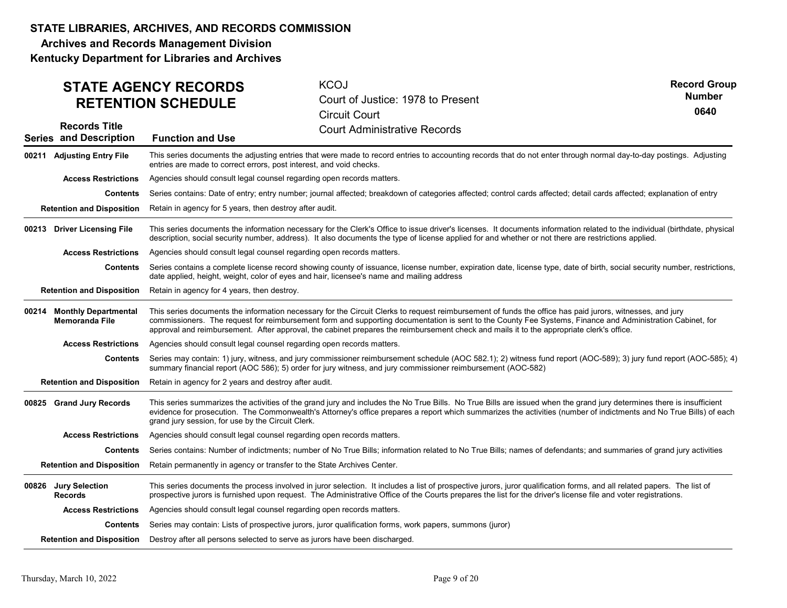Archives and Records Management Division

| <b>STATE AGENCY RECORDS</b><br><b>RETENTION SCHEDULE</b> |                                                                                                                                                                                                                                                                                                                                                                                                                                                                   | <b>KCOJ</b><br>Court of Justice: 1978 to Present<br><b>Circuit Court</b>                                                                                                                                                                                                                                                                  | <b>Record Group</b><br><b>Number</b><br>0640 |  |  |
|----------------------------------------------------------|-------------------------------------------------------------------------------------------------------------------------------------------------------------------------------------------------------------------------------------------------------------------------------------------------------------------------------------------------------------------------------------------------------------------------------------------------------------------|-------------------------------------------------------------------------------------------------------------------------------------------------------------------------------------------------------------------------------------------------------------------------------------------------------------------------------------------|----------------------------------------------|--|--|
| <b>Records Title</b><br><b>Series and Description</b>    | <b>Function and Use</b>                                                                                                                                                                                                                                                                                                                                                                                                                                           | <b>Court Administrative Records</b>                                                                                                                                                                                                                                                                                                       |                                              |  |  |
| 00211 Adjusting Entry File                               | This series documents the adjusting entries that were made to record entries to accounting records that do not enter through normal day-to-day postings. Adjusting<br>entries are made to correct errors, post interest, and void checks.                                                                                                                                                                                                                         |                                                                                                                                                                                                                                                                                                                                           |                                              |  |  |
| <b>Access Restrictions</b>                               | Agencies should consult legal counsel regarding open records matters.                                                                                                                                                                                                                                                                                                                                                                                             |                                                                                                                                                                                                                                                                                                                                           |                                              |  |  |
| <b>Contents</b>                                          |                                                                                                                                                                                                                                                                                                                                                                                                                                                                   | Series contains: Date of entry; entry number; journal affected; breakdown of categories affected; control cards affected; detail cards affected; explanation of entry                                                                                                                                                                     |                                              |  |  |
| <b>Retention and Disposition</b>                         | Retain in agency for 5 years, then destroy after audit.                                                                                                                                                                                                                                                                                                                                                                                                           |                                                                                                                                                                                                                                                                                                                                           |                                              |  |  |
| 00213 Driver Licensing File                              | This series documents the information necessary for the Clerk's Office to issue driver's licenses. It documents information related to the individual (birthdate, physical<br>description, social security number, address). It also documents the type of license applied for and whether or not there are restrictions applied.                                                                                                                                 |                                                                                                                                                                                                                                                                                                                                           |                                              |  |  |
| <b>Access Restrictions</b>                               | Agencies should consult legal counsel regarding open records matters.                                                                                                                                                                                                                                                                                                                                                                                             |                                                                                                                                                                                                                                                                                                                                           |                                              |  |  |
| <b>Contents</b>                                          |                                                                                                                                                                                                                                                                                                                                                                                                                                                                   | Series contains a complete license record showing county of issuance, license number, expiration date, license type, date of birth, social security number, restrictions,<br>date applied, height, weight, color of eyes and hair, licensee's name and mailing address                                                                    |                                              |  |  |
| <b>Retention and Disposition</b>                         | Retain in agency for 4 years, then destroy.                                                                                                                                                                                                                                                                                                                                                                                                                       |                                                                                                                                                                                                                                                                                                                                           |                                              |  |  |
| 00214 Monthly Departmental<br><b>Memoranda File</b>      | This series documents the information necessary for the Circuit Clerks to request reimbursement of funds the office has paid jurors, witnesses, and jury<br>commissioners. The request for reimbursement form and supporting documentation is sent to the County Fee Systems, Finance and Administration Cabinet, for<br>approval and reimbursement. After approval, the cabinet prepares the reimbursement check and mails it to the appropriate clerk's office. |                                                                                                                                                                                                                                                                                                                                           |                                              |  |  |
| <b>Access Restrictions</b>                               | Agencies should consult legal counsel regarding open records matters.                                                                                                                                                                                                                                                                                                                                                                                             |                                                                                                                                                                                                                                                                                                                                           |                                              |  |  |
| <b>Contents</b>                                          | Series may contain: 1) jury, witness, and jury commissioner reimbursement schedule (AOC 582.1); 2) witness fund report (AOC-589); 3) jury fund report (AOC-585); 4)<br>summary financial report (AOC 586); 5) order for jury witness, and jury commissioner reimbursement (AOC-582)                                                                                                                                                                               |                                                                                                                                                                                                                                                                                                                                           |                                              |  |  |
| <b>Retention and Disposition</b>                         | Retain in agency for 2 years and destroy after audit.                                                                                                                                                                                                                                                                                                                                                                                                             |                                                                                                                                                                                                                                                                                                                                           |                                              |  |  |
| 00825 Grand Jury Records                                 | This series summarizes the activities of the grand jury and includes the No True Bills. No True Bills are issued when the grand jury determines there is insufficient<br>evidence for prosecution. The Commonwealth's Attorney's office prepares a report which summarizes the activities (number of indictments and No True Bills) of each<br>grand jury session, for use by the Circuit Clerk.                                                                  |                                                                                                                                                                                                                                                                                                                                           |                                              |  |  |
| <b>Access Restrictions</b>                               | Agencies should consult legal counsel regarding open records matters.                                                                                                                                                                                                                                                                                                                                                                                             |                                                                                                                                                                                                                                                                                                                                           |                                              |  |  |
| <b>Contents</b>                                          |                                                                                                                                                                                                                                                                                                                                                                                                                                                                   | Series contains: Number of indictments; number of No True Bills; information related to No True Bills; names of defendants; and summaries of grand jury activities                                                                                                                                                                        |                                              |  |  |
| <b>Retention and Disposition</b>                         | Retain permanently in agency or transfer to the State Archives Center.                                                                                                                                                                                                                                                                                                                                                                                            |                                                                                                                                                                                                                                                                                                                                           |                                              |  |  |
| 00826 Jury Selection<br><b>Records</b>                   |                                                                                                                                                                                                                                                                                                                                                                                                                                                                   | This series documents the process involved in juror selection. It includes a list of prospective jurors, juror qualification forms, and all related papers. The list of<br>prospective jurors is furnished upon request. The Administrative Office of the Courts prepares the list for the driver's license file and voter registrations. |                                              |  |  |
| <b>Access Restrictions</b>                               | Agencies should consult legal counsel regarding open records matters.                                                                                                                                                                                                                                                                                                                                                                                             |                                                                                                                                                                                                                                                                                                                                           |                                              |  |  |
|                                                          |                                                                                                                                                                                                                                                                                                                                                                                                                                                                   | Contents Series may contain: Lists of prospective jurors, juror qualification forms, work papers, summons (juror)                                                                                                                                                                                                                         |                                              |  |  |
|                                                          | Retention and Disposition  Destroy after all persons selected to serve as jurors have been discharged.                                                                                                                                                                                                                                                                                                                                                            |                                                                                                                                                                                                                                                                                                                                           |                                              |  |  |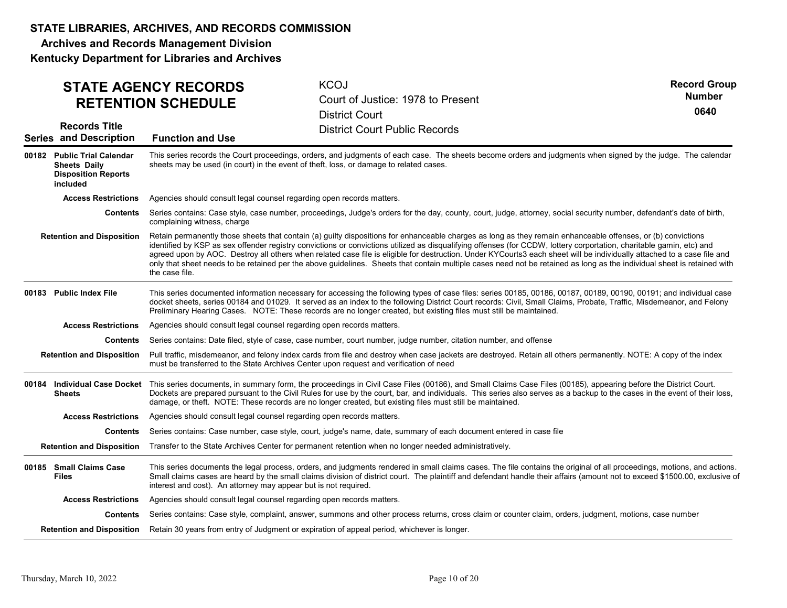Archives and Records Management Division

| <b>STATE AGENCY RECORDS</b><br><b>RETENTION SCHEDULE</b>                                     |                                                                                                                                                                                                                                                                                                                                                                                                                                                                  | <b>KCOJ</b><br>Court of Justice: 1978 to Present<br><b>District Court</b>                                                                                                                                                                                                                                                                                                                                                                                                                                                                                                                                                                                                                 | <b>Record Group</b><br><b>Number</b><br>0640 |  |  |  |
|----------------------------------------------------------------------------------------------|------------------------------------------------------------------------------------------------------------------------------------------------------------------------------------------------------------------------------------------------------------------------------------------------------------------------------------------------------------------------------------------------------------------------------------------------------------------|-------------------------------------------------------------------------------------------------------------------------------------------------------------------------------------------------------------------------------------------------------------------------------------------------------------------------------------------------------------------------------------------------------------------------------------------------------------------------------------------------------------------------------------------------------------------------------------------------------------------------------------------------------------------------------------------|----------------------------------------------|--|--|--|
| <b>Records Title</b><br><b>Series and Description</b>                                        | <b>Function and Use</b>                                                                                                                                                                                                                                                                                                                                                                                                                                          | <b>District Court Public Records</b>                                                                                                                                                                                                                                                                                                                                                                                                                                                                                                                                                                                                                                                      |                                              |  |  |  |
| 00182 Public Trial Calendar<br><b>Sheets Daily</b><br><b>Disposition Reports</b><br>included | This series records the Court proceedings, orders, and judgments of each case. The sheets become orders and judgments when signed by the judge. The calendar<br>sheets may be used (in court) in the event of theft, loss, or damage to related cases.                                                                                                                                                                                                           |                                                                                                                                                                                                                                                                                                                                                                                                                                                                                                                                                                                                                                                                                           |                                              |  |  |  |
| <b>Access Restrictions</b>                                                                   | Agencies should consult legal counsel regarding open records matters.                                                                                                                                                                                                                                                                                                                                                                                            |                                                                                                                                                                                                                                                                                                                                                                                                                                                                                                                                                                                                                                                                                           |                                              |  |  |  |
| <b>Contents</b>                                                                              | complaining witness, charge                                                                                                                                                                                                                                                                                                                                                                                                                                      | Series contains: Case style, case number, proceedings, Judge's orders for the day, county, court, judge, attorney, social security number, defendant's date of birth,                                                                                                                                                                                                                                                                                                                                                                                                                                                                                                                     |                                              |  |  |  |
| <b>Retention and Disposition</b>                                                             | the case file.                                                                                                                                                                                                                                                                                                                                                                                                                                                   | Retain permanently those sheets that contain (a) guilty dispositions for enhanceable charges as long as they remain enhanceable offenses, or (b) convictions<br>identified by KSP as sex offender registry convictions or convictions utilized as disqualifying offenses (for CCDW, lottery corportation, charitable gamin, etc) and<br>agreed upon by AOC. Destroy all others when related case file is eligible for destruction. Under KYCourts3 each sheet will be individually attached to a case file and<br>only that sheet needs to be retained per the above guidelines. Sheets that contain multiple cases need not be retained as long as the individual sheet is retained with |                                              |  |  |  |
| 00183 Public Index File                                                                      | This series documented information necessary for accessing the following types of case files: series 00185, 00185, 00187, 00189, 00190, 00191; and individual case<br>docket sheets, series 00184 and 01029. It served as an index to the following District Court records: Civil, Small Claims, Probate, Traffic, Misdemeanor, and Felony<br>Preliminary Hearing Cases. NOTE: These records are no longer created, but existing files must still be maintained. |                                                                                                                                                                                                                                                                                                                                                                                                                                                                                                                                                                                                                                                                                           |                                              |  |  |  |
| <b>Access Restrictions</b>                                                                   | Agencies should consult legal counsel regarding open records matters.                                                                                                                                                                                                                                                                                                                                                                                            |                                                                                                                                                                                                                                                                                                                                                                                                                                                                                                                                                                                                                                                                                           |                                              |  |  |  |
| <b>Contents</b>                                                                              |                                                                                                                                                                                                                                                                                                                                                                                                                                                                  | Series contains: Date filed, style of case, case number, court number, judge number, citation number, and offense                                                                                                                                                                                                                                                                                                                                                                                                                                                                                                                                                                         |                                              |  |  |  |
| <b>Retention and Disposition</b>                                                             | Pull traffic, misdemeanor, and felony index cards from file and destroy when case jackets are destroyed. Retain all others permanently. NOTE: A copy of the index<br>must be transferred to the State Archives Center upon request and verification of need                                                                                                                                                                                                      |                                                                                                                                                                                                                                                                                                                                                                                                                                                                                                                                                                                                                                                                                           |                                              |  |  |  |
| 00184 Individual Case Docket<br>Sheets                                                       |                                                                                                                                                                                                                                                                                                                                                                                                                                                                  | This series documents, in summary form, the proceedings in Civil Case Files (00186), and Small Claims Case Files (00185), appearing before the District Court.<br>Dockets are prepared pursuant to the Civil Rules for use by the court, bar, and individuals. This series also serves as a backup to the cases in the event of their loss,<br>damage, or theft. NOTE: These records are no longer created, but existing files must still be maintained.                                                                                                                                                                                                                                  |                                              |  |  |  |
| <b>Access Restrictions</b>                                                                   | Agencies should consult legal counsel regarding open records matters.                                                                                                                                                                                                                                                                                                                                                                                            |                                                                                                                                                                                                                                                                                                                                                                                                                                                                                                                                                                                                                                                                                           |                                              |  |  |  |
| Contents                                                                                     |                                                                                                                                                                                                                                                                                                                                                                                                                                                                  | Series contains: Case number, case style, court, judge's name, date, summary of each document entered in case file                                                                                                                                                                                                                                                                                                                                                                                                                                                                                                                                                                        |                                              |  |  |  |
|                                                                                              |                                                                                                                                                                                                                                                                                                                                                                                                                                                                  | Retention and Disposition Transfer to the State Archives Center for permanent retention when no longer needed administratively.                                                                                                                                                                                                                                                                                                                                                                                                                                                                                                                                                           |                                              |  |  |  |
| 00185 Small Claims Case<br><b>Files</b>                                                      | interest and cost). An attorney may appear but is not required.                                                                                                                                                                                                                                                                                                                                                                                                  | This series documents the legal process, orders, and judgments rendered in small claims cases. The file contains the original of all proceedings, motions, and actions.<br>Small claims cases are heard by the small claims division of district court. The plaintiff and defendant handle their affairs (amount not to exceed \$1500.00, exclusive of                                                                                                                                                                                                                                                                                                                                    |                                              |  |  |  |
| <b>Access Restrictions</b>                                                                   | Agencies should consult legal counsel regarding open records matters.                                                                                                                                                                                                                                                                                                                                                                                            |                                                                                                                                                                                                                                                                                                                                                                                                                                                                                                                                                                                                                                                                                           |                                              |  |  |  |
|                                                                                              |                                                                                                                                                                                                                                                                                                                                                                                                                                                                  | Contents Series contains: Case style, complaint, answer, summons and other process returns, cross claim or counter claim, orders, judgment, motions, case number                                                                                                                                                                                                                                                                                                                                                                                                                                                                                                                          |                                              |  |  |  |
|                                                                                              |                                                                                                                                                                                                                                                                                                                                                                                                                                                                  | Retention and Disposition Retain 30 years from entry of Judgment or expiration of appeal period, whichever is longer.                                                                                                                                                                                                                                                                                                                                                                                                                                                                                                                                                                     |                                              |  |  |  |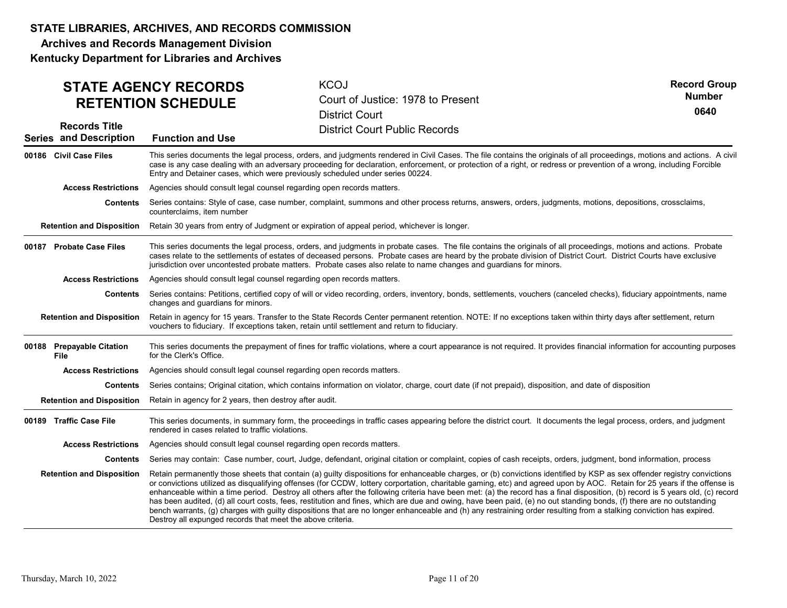Archives and Records Management Division

| <b>STATE AGENCY RECORDS</b><br><b>RETENTION SCHEDULE</b> |                                                                                                                                                                                                                                                                                                                                                                                                                                                                                                                                                                                                                                                                                                                                                                                                                                                                                                                                                    | <b>KCOJ</b><br>Court of Justice: 1978 to Present<br><b>District Court</b>                                                                                              | <b>Record Group</b><br><b>Number</b><br>0640 |  |  |
|----------------------------------------------------------|----------------------------------------------------------------------------------------------------------------------------------------------------------------------------------------------------------------------------------------------------------------------------------------------------------------------------------------------------------------------------------------------------------------------------------------------------------------------------------------------------------------------------------------------------------------------------------------------------------------------------------------------------------------------------------------------------------------------------------------------------------------------------------------------------------------------------------------------------------------------------------------------------------------------------------------------------|------------------------------------------------------------------------------------------------------------------------------------------------------------------------|----------------------------------------------|--|--|
| <b>Records Title</b><br><b>Series and Description</b>    | <b>Function and Use</b>                                                                                                                                                                                                                                                                                                                                                                                                                                                                                                                                                                                                                                                                                                                                                                                                                                                                                                                            | <b>District Court Public Records</b>                                                                                                                                   |                                              |  |  |
| 00186 Civil Case Files                                   | This series documents the legal process, orders, and judgments rendered in Civil Cases. The file contains the originals of all proceedings, motions and actions. A civil<br>case is any case dealing with an adversary proceeding for declaration, enforcement, or protection of a right, or redress or prevention of a wrong, including Forcible<br>Entry and Detainer cases, which were previously scheduled under series 00224.                                                                                                                                                                                                                                                                                                                                                                                                                                                                                                                 |                                                                                                                                                                        |                                              |  |  |
| <b>Access Restrictions</b>                               | Agencies should consult legal counsel regarding open records matters.                                                                                                                                                                                                                                                                                                                                                                                                                                                                                                                                                                                                                                                                                                                                                                                                                                                                              |                                                                                                                                                                        |                                              |  |  |
| Contents                                                 | counterclaims, item number                                                                                                                                                                                                                                                                                                                                                                                                                                                                                                                                                                                                                                                                                                                                                                                                                                                                                                                         | Series contains: Style of case, case number, complaint, summons and other process returns, answers, orders, judgments, motions, depositions, crossclaims,              |                                              |  |  |
| <b>Retention and Disposition</b>                         |                                                                                                                                                                                                                                                                                                                                                                                                                                                                                                                                                                                                                                                                                                                                                                                                                                                                                                                                                    | Retain 30 years from entry of Judgment or expiration of appeal period, whichever is longer.                                                                            |                                              |  |  |
| 00187 Probate Case Files                                 | This series documents the legal process, orders, and judgments in probate cases. The file contains the originals of all proceedings, motions and actions. Probate<br>cases relate to the settlements of estates of deceased persons. Probate cases are heard by the probate division of District Court. District Courts have exclusive<br>jurisdiction over uncontested probate matters. Probate cases also relate to name changes and guardians for minors.                                                                                                                                                                                                                                                                                                                                                                                                                                                                                       |                                                                                                                                                                        |                                              |  |  |
| <b>Access Restrictions</b>                               | Agencies should consult legal counsel regarding open records matters.                                                                                                                                                                                                                                                                                                                                                                                                                                                                                                                                                                                                                                                                                                                                                                                                                                                                              |                                                                                                                                                                        |                                              |  |  |
| Contents                                                 | changes and quardians for minors.                                                                                                                                                                                                                                                                                                                                                                                                                                                                                                                                                                                                                                                                                                                                                                                                                                                                                                                  | Series contains: Petitions, certified copy of will or video recording, orders, inventory, bonds, settlements, vouchers (canceled checks), fiduciary appointments, name |                                              |  |  |
| <b>Retention and Disposition</b>                         | Retain in agency for 15 years. Transfer to the State Records Center permanent retention. NOTE: If no exceptions taken within thirty days after settlement, return<br>vouchers to fiduciary. If exceptions taken, retain until settlement and return to fiduciary.                                                                                                                                                                                                                                                                                                                                                                                                                                                                                                                                                                                                                                                                                  |                                                                                                                                                                        |                                              |  |  |
| 00188 Prepayable Citation<br>File                        | This series documents the prepayment of fines for traffic violations, where a court appearance is not required. It provides financial information for accounting purposes<br>for the Clerk's Office.                                                                                                                                                                                                                                                                                                                                                                                                                                                                                                                                                                                                                                                                                                                                               |                                                                                                                                                                        |                                              |  |  |
| <b>Access Restrictions</b>                               | Agencies should consult legal counsel regarding open records matters.                                                                                                                                                                                                                                                                                                                                                                                                                                                                                                                                                                                                                                                                                                                                                                                                                                                                              |                                                                                                                                                                        |                                              |  |  |
| <b>Contents</b>                                          |                                                                                                                                                                                                                                                                                                                                                                                                                                                                                                                                                                                                                                                                                                                                                                                                                                                                                                                                                    | Series contains; Original citation, which contains information on violator, charge, court date (if not prepaid), disposition, and date of disposition                  |                                              |  |  |
| <b>Retention and Disposition</b>                         | Retain in agency for 2 years, then destroy after audit.                                                                                                                                                                                                                                                                                                                                                                                                                                                                                                                                                                                                                                                                                                                                                                                                                                                                                            |                                                                                                                                                                        |                                              |  |  |
| 00189 Traffic Case File                                  | This series documents, in summary form, the proceedings in traffic cases appearing before the district court. It documents the legal process, orders, and judgment<br>rendered in cases related to traffic violations.                                                                                                                                                                                                                                                                                                                                                                                                                                                                                                                                                                                                                                                                                                                             |                                                                                                                                                                        |                                              |  |  |
| <b>Access Restrictions</b>                               | Agencies should consult legal counsel regarding open records matters.                                                                                                                                                                                                                                                                                                                                                                                                                                                                                                                                                                                                                                                                                                                                                                                                                                                                              |                                                                                                                                                                        |                                              |  |  |
| Contents                                                 |                                                                                                                                                                                                                                                                                                                                                                                                                                                                                                                                                                                                                                                                                                                                                                                                                                                                                                                                                    | Series may contain: Case number, court, Judge, defendant, original citation or complaint, copies of cash receipts, orders, judgment, bond information, process         |                                              |  |  |
| <b>Retention and Disposition</b>                         | Retain permanently those sheets that contain (a) guilty dispositions for enhanceable charges, or (b) convictions identified by KSP as sex offender registry convictions<br>or convictions utilized as disqualifying offenses (for CCDW, lottery corportation, charitable gaming, etc) and agreed upon by AOC. Retain for 25 years if the offense is<br>enhanceable within a time period. Destroy all others after the following criteria have been met: (a) the record has a final disposition, (b) record is 5 years old, (c) record<br>has been audited, (d) all court costs, fees, restitution and fines, which are due and owing, have been paid, (e) no out standing bonds, (f) there are no outstanding<br>bench warrants, (g) charges with guilty dispositions that are no longer enhanceable and (h) any restraining order resulting from a stalking conviction has expired.<br>Destroy all expunged records that meet the above criteria. |                                                                                                                                                                        |                                              |  |  |
| Thursday, March 10, 2022                                 |                                                                                                                                                                                                                                                                                                                                                                                                                                                                                                                                                                                                                                                                                                                                                                                                                                                                                                                                                    | Page 11 of 20                                                                                                                                                          |                                              |  |  |
|                                                          |                                                                                                                                                                                                                                                                                                                                                                                                                                                                                                                                                                                                                                                                                                                                                                                                                                                                                                                                                    |                                                                                                                                                                        |                                              |  |  |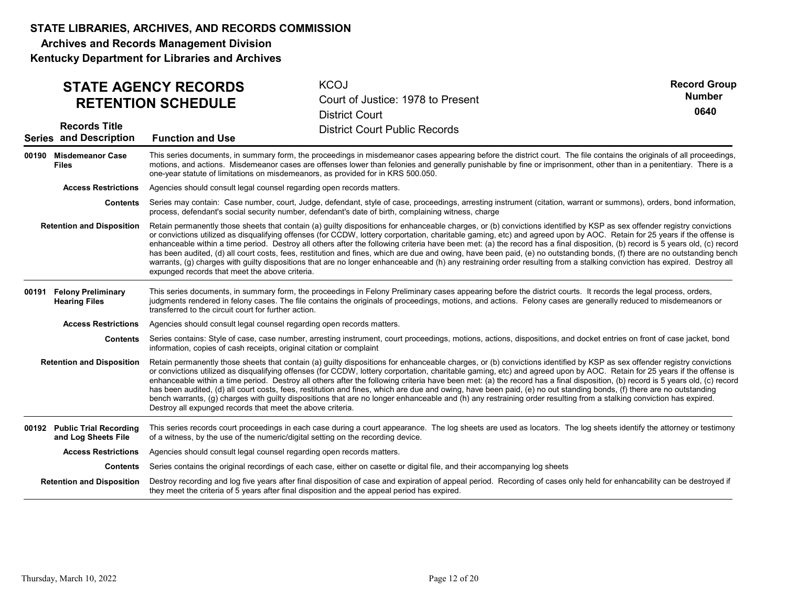Archives and Records Management Division

| <b>STATE AGENCY RECORDS</b><br><b>RETENTION SCHEDULE</b> |                                                                                                                                                                                                                                                                                                                                                                                                                                                                                                                                                                                                                                                                                                                                                                                                                                                                                                                                                    | <b>KCOJ</b><br>Court of Justice: 1978 to Present<br><b>District Court</b>                                                                                                                                                                                                | <b>Record Group</b><br><b>Number</b><br>0640 |  |  |  |
|----------------------------------------------------------|----------------------------------------------------------------------------------------------------------------------------------------------------------------------------------------------------------------------------------------------------------------------------------------------------------------------------------------------------------------------------------------------------------------------------------------------------------------------------------------------------------------------------------------------------------------------------------------------------------------------------------------------------------------------------------------------------------------------------------------------------------------------------------------------------------------------------------------------------------------------------------------------------------------------------------------------------|--------------------------------------------------------------------------------------------------------------------------------------------------------------------------------------------------------------------------------------------------------------------------|----------------------------------------------|--|--|--|
| <b>Records Title</b><br><b>Series and Description</b>    | <b>Function and Use</b>                                                                                                                                                                                                                                                                                                                                                                                                                                                                                                                                                                                                                                                                                                                                                                                                                                                                                                                            | <b>District Court Public Records</b>                                                                                                                                                                                                                                     |                                              |  |  |  |
| 00190 Misdemeanor Case<br><b>Files</b>                   | This series documents, in summary form, the proceedings in misdemeanor cases appearing before the district court. The file contains the originals of all proceedings,<br>motions, and actions. Misdemeanor cases are offenses lower than felonies and generally punishable by fine or imprisonment, other than in a penitentiary. There is a<br>one-year statute of limitations on misdemeanors, as provided for in KRS 500.050.                                                                                                                                                                                                                                                                                                                                                                                                                                                                                                                   |                                                                                                                                                                                                                                                                          |                                              |  |  |  |
| <b>Access Restrictions</b>                               | Agencies should consult legal counsel regarding open records matters.                                                                                                                                                                                                                                                                                                                                                                                                                                                                                                                                                                                                                                                                                                                                                                                                                                                                              |                                                                                                                                                                                                                                                                          |                                              |  |  |  |
| <b>Contents</b>                                          | Series may contain: Case number, court, Judge, defendant, style of case, proceedings, arresting instrument (citation, warrant or summons), orders, bond information,<br>process, defendant's social security number, defendant's date of birth, complaining witness, charge                                                                                                                                                                                                                                                                                                                                                                                                                                                                                                                                                                                                                                                                        |                                                                                                                                                                                                                                                                          |                                              |  |  |  |
| <b>Retention and Disposition</b>                         | Retain permanently those sheets that contain (a) guilty dispositions for enhanceable charges, or (b) convictions identified by KSP as sex offender registry convictions<br>or convictions utilized as disqualifying offenses (for CCDW, lottery corportation, charitable gaming, etc) and agreed upon by AOC. Retain for 25 years if the offense is<br>enhanceable within a time period. Destroy all others after the following criteria have been met: (a) the record has a final disposition, (b) record is 5 years old, (c) record<br>has been audited, (d) all court costs, fees, restitution and fines, which are due and owing, have been paid, (e) no outstanding bonds, (f) there are no outstanding bench<br>warrants, (g) charges with guilty dispositions that are no longer enhanceable and (h) any restraining order resulting from a stalking conviction has expired. Destroy all<br>expunged records that meet the above criteria.  |                                                                                                                                                                                                                                                                          |                                              |  |  |  |
| 00191 Felony Preliminary<br><b>Hearing Files</b>         | This series documents, in summary form, the proceedings in Felony Preliminary cases appearing before the district courts. It records the legal process, orders,<br>judgments rendered in felony cases. The file contains the originals of proceedings, motions, and actions. Felony cases are generally reduced to misdemeanors or<br>transferred to the circuit court for further action.                                                                                                                                                                                                                                                                                                                                                                                                                                                                                                                                                         |                                                                                                                                                                                                                                                                          |                                              |  |  |  |
| <b>Access Restrictions</b>                               | Agencies should consult legal counsel regarding open records matters.                                                                                                                                                                                                                                                                                                                                                                                                                                                                                                                                                                                                                                                                                                                                                                                                                                                                              |                                                                                                                                                                                                                                                                          |                                              |  |  |  |
| Contents                                                 | Series contains: Style of case, case number, arresting instrument, court proceedings, motions, actions, dispositions, and docket entries on front of case jacket, bond<br>information, copies of cash receipts, original citation or complaint                                                                                                                                                                                                                                                                                                                                                                                                                                                                                                                                                                                                                                                                                                     |                                                                                                                                                                                                                                                                          |                                              |  |  |  |
| <b>Retention and Disposition</b>                         | Retain permanently those sheets that contain (a) guilty dispositions for enhanceable charges, or (b) convictions identified by KSP as sex offender registry convictions<br>or convictions utilized as disqualifying offenses (for CCDW, lottery corportation, charitable gaming, etc) and agreed upon by AOC. Retain for 25 years if the offense is<br>enhanceable within a time period. Destroy all others after the following criteria have been met: (a) the record has a final disposition, (b) record is 5 years old, (c) record<br>has been audited, (d) all court costs, fees, restitution and fines, which are due and owing, have been paid, (e) no out standing bonds, (f) there are no outstanding<br>bench warrants, (g) charges with guilty dispositions that are no longer enhanceable and (h) any restraining order resulting from a stalking conviction has expired.<br>Destroy all expunged records that meet the above criteria. |                                                                                                                                                                                                                                                                          |                                              |  |  |  |
| 00192 Public Trial Recording<br>and Log Sheets File      |                                                                                                                                                                                                                                                                                                                                                                                                                                                                                                                                                                                                                                                                                                                                                                                                                                                                                                                                                    | This series records court proceedings in each case during a court appearance. The log sheets are used as locators. The log sheets identify the attorney or testimony<br>of a witness, by the use of the numeric/digital setting on the recording device.                 |                                              |  |  |  |
| <b>Access Restrictions</b>                               | Agencies should consult legal counsel regarding open records matters.                                                                                                                                                                                                                                                                                                                                                                                                                                                                                                                                                                                                                                                                                                                                                                                                                                                                              |                                                                                                                                                                                                                                                                          |                                              |  |  |  |
| Contents                                                 |                                                                                                                                                                                                                                                                                                                                                                                                                                                                                                                                                                                                                                                                                                                                                                                                                                                                                                                                                    | Series contains the original recordings of each case, either on casette or digital file, and their accompanying log sheets                                                                                                                                               |                                              |  |  |  |
| <b>Retention and Disposition</b>                         |                                                                                                                                                                                                                                                                                                                                                                                                                                                                                                                                                                                                                                                                                                                                                                                                                                                                                                                                                    | Destroy recording and log five years after final disposition of case and expiration of appeal period. Recording of cases only held for enhancability can be destroyed if<br>they meet the criteria of 5 years after final disposition and the appeal period has expired. |                                              |  |  |  |
|                                                          |                                                                                                                                                                                                                                                                                                                                                                                                                                                                                                                                                                                                                                                                                                                                                                                                                                                                                                                                                    |                                                                                                                                                                                                                                                                          |                                              |  |  |  |
| Thursday, March 10, 2022                                 |                                                                                                                                                                                                                                                                                                                                                                                                                                                                                                                                                                                                                                                                                                                                                                                                                                                                                                                                                    | Page 12 of 20                                                                                                                                                                                                                                                            |                                              |  |  |  |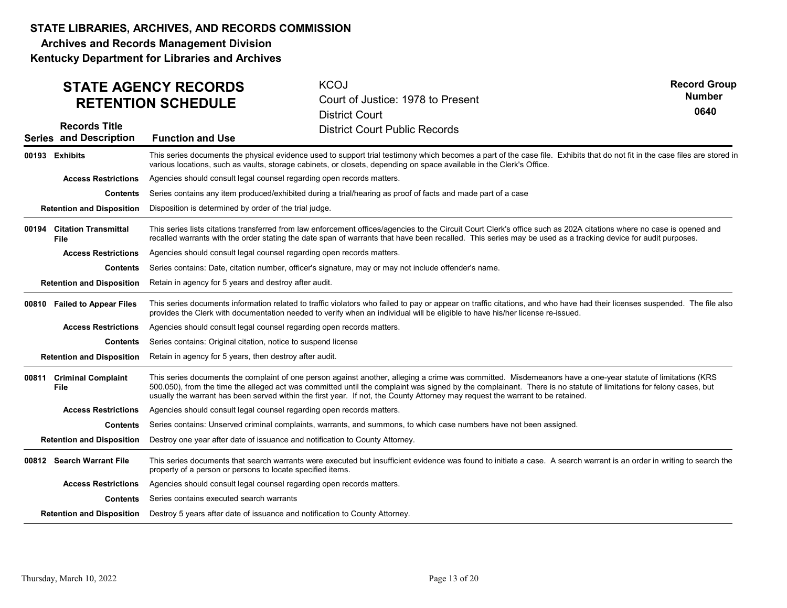Archives and Records Management Division

Kentucky Department for Libraries and Archives

### KCOJ Court of Justice: 1978 to Present District Court District Court Public Records Series and Description Function and Use Records Title STATE AGENCY RECORDS RETENTION SCHEDULE Record Group 0640 Number 00193 Exhibits **Exhibits** This series documents the physical evidence used to support trial testimony which becomes a part of the case file. Exhibits that do not fit in the case files are stored in various locations, such as vaults, storage cabinets, or closets, depending on space available in the Clerk's Office. **Contents** Series contains any item produced/exhibited during a trial/hearing as proof of facts and made part of a case **Retention and Disposition** Disposition is determined by order of the trial judge. Access Restrictions Agencies should consult legal counsel regarding open records matters. Citation Transmittal This series lists citations transferred from law enforcement offices/agencies to the Circuit Court Clerk's office such as 202A citations where no case is opened and recalled warrants with the order stating the date span of warrants that have been recalled. This series may be used as a tracking device for audit purposes. **Contents** Series contains: Date, citation number, officer's signature, may or may not include offender's name. **Retention and Disposition** Retain in agency for 5 years and destroy after audit. File 00194 Citation Transmittal Access Restrictions Agencies should consult legal counsel regarding open records matters. This series documents information related to traffic violators who failed to pay or appear on traffic citations, and who have had their licenses suspended. The file also provides the Clerk with documentation needed to verify when an individual will be eligible to have his/her license re-issued. **Contents** Series contains: Original citation, notice to suspend license **Retention and Disposition** Retain in agency for 5 years, then destroy after audit. 00810 Failed to Appear Files Access Restrictions Agencies should consult legal counsel regarding open records matters. This series documents the complaint of one person against another, alleging a crime was committed. Misdemeanors have a one-year statute of limitations (KRS 500.050), from the time the alleged act was committed until the complaint was signed by the complainant. There is no statute of limitations for felony cases, but usually the warrant has been served within the first year. If not, the County Attorney may request the warrant to be retained. Contents Series contains: Unserved criminal complaints, warrants, and summons, to which case numbers have not been assigned. Retention and Disposition Destroy one year after date of issuance and notification to County Attorney. 00811 Criminal Complaint This series documen File Access Restrictions Agencies should consult legal counsel regarding open records matters. This series documents that search warrants were executed but insufficient evidence was found to initiate a case. A search warrant is an order in writing to search the property of a person or persons to locate specified items. **Contents** Series contains executed search warrants Retention and Disposition Destroy 5 years after date of issuance and notification to County Attorney. 00812 Search Warrant File Access Restrictions Agencies should consult legal counsel regarding open records matters. Access Restrictions Agencies should consult logal coursel regarding open records matters.<br>
The constraints constraints consider the constraints consider a degree and the constraints consider a degree and the consideration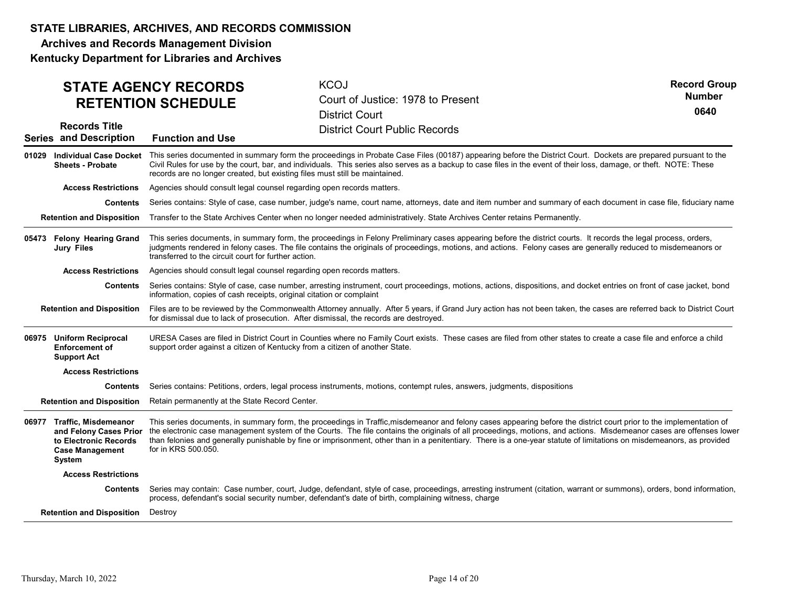Archives and Records Management Division

|                                                                         | <b>STATE AGENCY RECORDS</b><br><b>RETENTION SCHEDULE</b>                                                                                                                                                                                                                                                                                                                                                                                                                                                                                   | <b>KCOJ</b><br>Court of Justice: 1978 to Present<br><b>District Court</b>                                                                                                                                                                                                   | <b>Record Group</b><br><b>Number</b><br>0640 |
|-------------------------------------------------------------------------|--------------------------------------------------------------------------------------------------------------------------------------------------------------------------------------------------------------------------------------------------------------------------------------------------------------------------------------------------------------------------------------------------------------------------------------------------------------------------------------------------------------------------------------------|-----------------------------------------------------------------------------------------------------------------------------------------------------------------------------------------------------------------------------------------------------------------------------|----------------------------------------------|
| <b>Records Title</b><br><b>Series and Description</b>                   | <b>Function and Use</b>                                                                                                                                                                                                                                                                                                                                                                                                                                                                                                                    | <b>District Court Public Records</b>                                                                                                                                                                                                                                        |                                              |
| 01029 Individual Case Docket<br><b>Sheets - Probate</b>                 | This series documented in summary form the proceedings in Probate Case Files (00187) appearing before the District Court. Dockets are prepared pursuant to the<br>Civil Rules for use by the court, bar, and individuals. This series also serves as a backup to case files in the event of their loss, damage, or theft. NOTE: These<br>records are no longer created, but existing files must still be maintained.                                                                                                                       |                                                                                                                                                                                                                                                                             |                                              |
| <b>Access Restrictions</b>                                              | Agencies should consult legal counsel regarding open records matters.                                                                                                                                                                                                                                                                                                                                                                                                                                                                      |                                                                                                                                                                                                                                                                             |                                              |
| <b>Contents</b>                                                         | Series contains: Style of case, case number, judge's name, court name, attorneys, date and item number and summary of each document in case file, fiduciary name                                                                                                                                                                                                                                                                                                                                                                           |                                                                                                                                                                                                                                                                             |                                              |
| <b>Retention and Disposition</b>                                        |                                                                                                                                                                                                                                                                                                                                                                                                                                                                                                                                            | Transfer to the State Archives Center when no longer needed administratively. State Archives Center retains Permanently.                                                                                                                                                    |                                              |
| 05473 Felony Hearing Grand<br><b>Jury Files</b>                         | This series documents, in summary form, the proceedings in Felony Preliminary cases appearing before the district courts. It records the legal process, orders,<br>judgments rendered in felony cases. The file contains the originals of proceedings, motions, and actions. Felony cases are generally reduced to misdemeanors or<br>transferred to the circuit court for further action.                                                                                                                                                 |                                                                                                                                                                                                                                                                             |                                              |
| <b>Access Restrictions</b>                                              | Agencies should consult legal counsel regarding open records matters.                                                                                                                                                                                                                                                                                                                                                                                                                                                                      |                                                                                                                                                                                                                                                                             |                                              |
| <b>Contents</b>                                                         | Series contains: Style of case, case number, arresting instrument, court proceedings, motions, actions, dispositions, and docket entries on front of case jacket, bond<br>information, copies of cash receipts, original citation or complaint                                                                                                                                                                                                                                                                                             |                                                                                                                                                                                                                                                                             |                                              |
| <b>Retention and Disposition</b>                                        | Files are to be reviewed by the Commonwealth Attorney annually. After 5 years, if Grand Jury action has not been taken, the cases are referred back to District Court<br>for dismissal due to lack of prosecution. After dismissal, the records are destroyed.                                                                                                                                                                                                                                                                             |                                                                                                                                                                                                                                                                             |                                              |
| 06975 Uniform Reciprocal<br><b>Enforcement of</b><br><b>Support Act</b> | URESA Cases are filed in District Court in Counties where no Family Court exists. These cases are filed from other states to create a case file and enforce a child<br>support order against a citizen of Kentucky from a citizen of another State.                                                                                                                                                                                                                                                                                        |                                                                                                                                                                                                                                                                             |                                              |
| <b>Access Restrictions</b>                                              |                                                                                                                                                                                                                                                                                                                                                                                                                                                                                                                                            |                                                                                                                                                                                                                                                                             |                                              |
| <b>Contents</b>                                                         |                                                                                                                                                                                                                                                                                                                                                                                                                                                                                                                                            | Series contains: Petitions, orders, legal process instruments, motions, contempt rules, answers, judgments, dispositions                                                                                                                                                    |                                              |
| <b>Retention and Disposition</b>                                        | Retain permanently at the State Record Center.                                                                                                                                                                                                                                                                                                                                                                                                                                                                                             |                                                                                                                                                                                                                                                                             |                                              |
| 06977 Traffic, Misdemeanor<br>and Felony Cases Prior                    | This series documents, in summary form, the proceedings in Traffic, misdemeanor and felony cases appearing before the district court prior to the implementation of<br>the electronic case management system of the Courts. The file contains the originals of all proceedings, motions, and actions. Misdemeanor cases are offenses lower<br>than felonies and generally punishable by fine or imprisonment, other than in a penitentiary. There is a one-year statute of limitations on misdemeanors, as provided<br>for in KRS 500.050. |                                                                                                                                                                                                                                                                             |                                              |
| to Electronic Records<br><b>Case Management</b><br>System               |                                                                                                                                                                                                                                                                                                                                                                                                                                                                                                                                            |                                                                                                                                                                                                                                                                             |                                              |
| <b>Access Restrictions</b>                                              |                                                                                                                                                                                                                                                                                                                                                                                                                                                                                                                                            |                                                                                                                                                                                                                                                                             |                                              |
| <b>Contents</b>                                                         |                                                                                                                                                                                                                                                                                                                                                                                                                                                                                                                                            | Series may contain: Case number, court, Judge, defendant, style of case, proceedings, arresting instrument (citation, warrant or summons), orders, bond information,<br>process, defendant's social security number, defendant's date of birth, complaining witness, charge |                                              |
| <b>Retention and Disposition</b>                                        | Destroy                                                                                                                                                                                                                                                                                                                                                                                                                                                                                                                                    |                                                                                                                                                                                                                                                                             |                                              |
|                                                                         |                                                                                                                                                                                                                                                                                                                                                                                                                                                                                                                                            |                                                                                                                                                                                                                                                                             |                                              |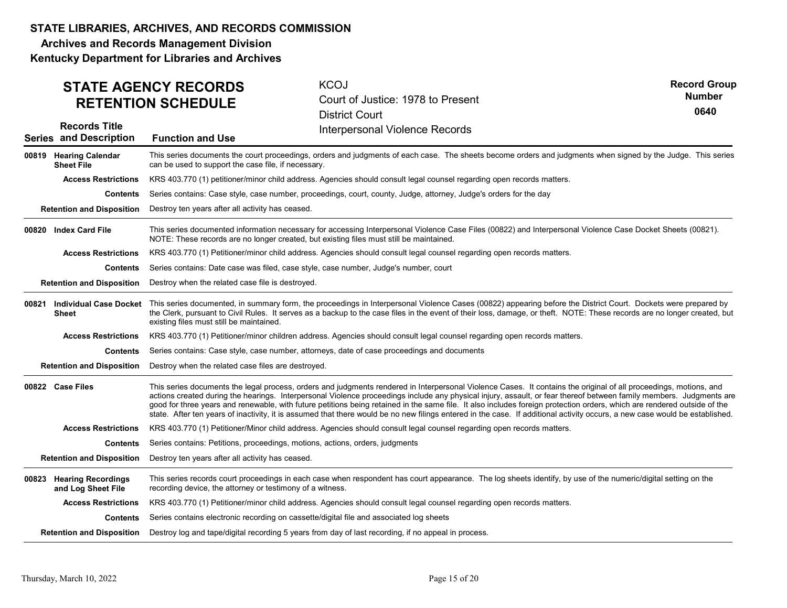Archives and Records Management Division Kentucky Department for Libraries and Archives

KCOJ Court of Justice: 1978 to Present District Court **Function and Use Interpersonal Violence Records** Records Title Series and Description STATE AGENCY RECORDS RETENTION SCHEDULE Record Group 0640 Number This series documents the court proceedings, orders and judgments of each case. The sheets become orders and judgments when signed by the Judge. This series can be used to support the case file, if necessary. Contents Series contains: Case style, case number, proceedings, court, county, Judge, attorney, Judge's orders for the day **Retention and Disposition** Destroy ten years after all activity has ceased. 00819 Hearing Calendar This series documen Sheet File Access Restrictions KRS 403.770 (1) petitioner/minor child address. Agencies should consult legal counsel regarding open records matters. This series documented information necessary for accessing Interpersonal Violence Case Files (00822) and Interpersonal Violence Case Docket Sheets (00821). NOTE: These records are no longer created, but existing files must still be maintained. **Contents** Series contains: Date case was filed, case style, case number, Judge's number, court **Retention and Disposition** Destroy when the related case file is destroyed. 00820 Index Card File Access Restrictions KRS 403.770 (1) Petitioner/minor child address. Agencies should consult legal counsel regarding open records matters. 00821 Individual Case Docket This series documented, in summary form, the proceedings in Interpersonal Violence Cases (00822) appearing before the District Court. Dockets were prepared by the Clerk, pursuant to Civil Rules. It serves as a backup to the case files in the event of their loss, damage, or theft. NOTE: These records are no longer created, but existing files must still be maintained. Contents Series contains: Case style, case number, attorneys, date of case proceedings and documents **Retention and Disposition** Destroy when the related case files are destroyed. Sheet Access Restrictions KRS 403.770 (1) Petitioner/minor children address. Agencies should consult legal counsel regarding open records matters. 00822 Case Files **This series documents the legal process**, orders and judgments rendered in Interpersonal Violence Cases. It contains the original of all proceedings, motions, and interpersonal Violence Cases. It contains actions created during the hearings. Interpersonal Violence proceedings include any physical injury, assault, or fear thereof between family members. Judgments are good for three years and renewable, with future petitions being retained in the same file. It also includes foreign protection orders, which are rendered outside of the state. After ten years of inactivity, it is assumed that there would be no new filings entered in the case. If additional activity occurs, a new case would be established. **Contents** Series contains: Petitions, proceedings, motions, actions, orders, judgments **Retention and Disposition** Destroy ten years after all activity has ceased. Access Restrictions KRS 403.770 (1) Petitioner/Minor child address. Agencies should consult legal counsel regarding open records matters. This series records court proceedings in each case when respondent has court appearance. The log sheets identify, by use of the numeric/digital setting on the recording device, the attorney or testimony of a witness. **Contents** Series contains electronic recording on cassette/digital file and associated log sheets **Retention and Disposition** Destroy log and tape/digital recording 5 years from day of last recording, if no appeal in process. 00823 Hearing Recordings This series records c and Log Sheet File Access Restrictions KRS 403.770 (1) Petitioner/minor child address. Agencies should consult legal counsel regarding open records matters. Access Restrictions (938) that material contents and the material contents and contents and contents of the material contents of the material contents of the contents of the contents of the contents of the contents of the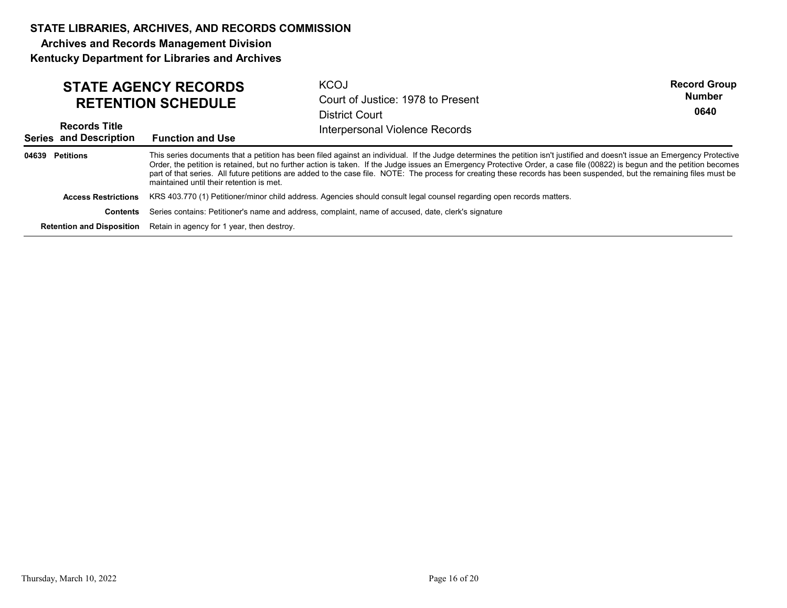Archives and Records Management Division

|                 |                                                       | <b>STATE AGENCY RECORDS</b><br><b>RETENTION SCHEDULE</b>                    | <b>KCOJ</b><br>Court of Justice: 1978 to Present<br><b>District Court</b>                                                                                                                                                                                                                                                                                                                                                                                                                                                         | <b>Record Group</b><br><b>Number</b><br>0640 |
|-----------------|-------------------------------------------------------|-----------------------------------------------------------------------------|-----------------------------------------------------------------------------------------------------------------------------------------------------------------------------------------------------------------------------------------------------------------------------------------------------------------------------------------------------------------------------------------------------------------------------------------------------------------------------------------------------------------------------------|----------------------------------------------|
|                 | <b>Records Title</b><br><b>Series and Description</b> | <b>Function and Use</b>                                                     | Interpersonal Violence Records                                                                                                                                                                                                                                                                                                                                                                                                                                                                                                    |                                              |
| 04639 Petitions |                                                       | maintained until their retention is met.                                    | This series documents that a petition has been filed against an individual. If the Judge determines the petition isn't justified and doesn't issue an Emergency Protective<br>Order, the petition is retained, but no further action is taken. If the Judge issues an Emergency Protective Order, a case file (00822) is begun and the petition becomes<br>part of that series. All future petitions are added to the case file. NOTE: The process for creating these records has been suspended, but the remaining files must be |                                              |
|                 | <b>Access Restrictions</b>                            |                                                                             | KRS 403.770 (1) Petitioner/minor child address. Agencies should consult legal counsel regarding open records matters.                                                                                                                                                                                                                                                                                                                                                                                                             |                                              |
|                 | Contents                                              |                                                                             | Series contains: Petitioner's name and address, complaint, name of accused, date, clerk's signature                                                                                                                                                                                                                                                                                                                                                                                                                               |                                              |
|                 |                                                       | <b>Retention and Disposition</b> Retain in agency for 1 year, then destroy. |                                                                                                                                                                                                                                                                                                                                                                                                                                                                                                                                   |                                              |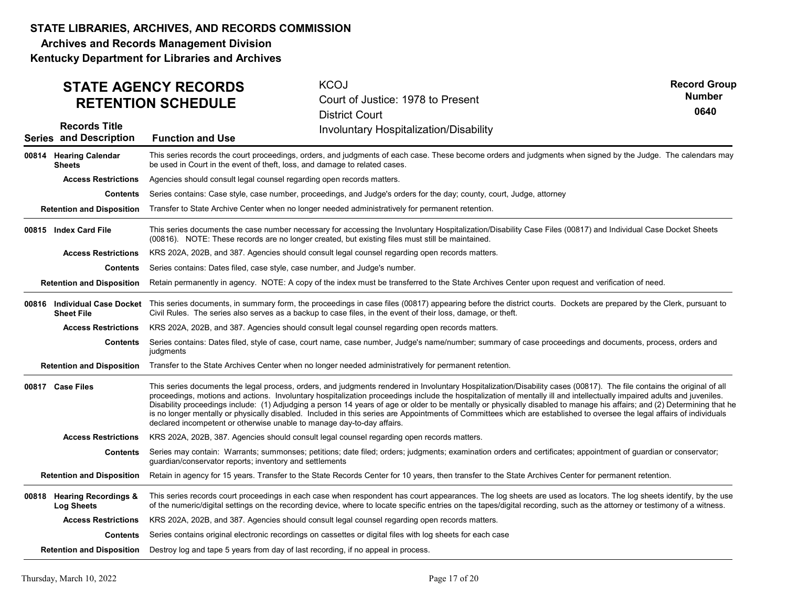Archives and Records Management Division Kentucky Department for Libraries and Archives

KCOJ Court of Justice: 1978 to Present District Court **Function and Use Series Concident** Involuntary Hospitalization/Disability Records Title Series and Description STATE AGENCY RECORDS RETENTION SCHEDULE Record Group 0640 Number This series records the court proceedings, orders, and judgments of each case. These become orders and judgments when signed by the Judge. The calendars may be used in Court in the event of theft, loss, and damage to related cases. **Contents** Series contains: Case style, case number, proceedings, and Judge's orders for the day; county, court, Judge, attorney Retention and Disposition Transfer to State Archive Center when no longer needed administratively for permanent retention. 00814 Hearing Calendar This series records th **Sheets** Access Restrictions Agencies should consult legal counsel regarding open records matters. This series documents the case number necessary for accessing the Involuntary Hospitalization/Disability Case Files (00817) and Individual Case Docket Sheets (00816). NOTE: These records are no longer created, but existing files must still be maintained. **Contents** Series contains: Dates filed, case style, case number, and Judge's number. Retention and Disposition Retain permanently in agency. NOTE: A copy of the index must be transferred to the State Archives Center upon request and verification of need. 00815 Index Card File Access Restrictions KRS 202A, 202B, and 387. Agencies should consult legal counsel regarding open records matters. **00816 Individual Case Docket** This series documents, in summary form, the proceedings in case files (00817) appearing before the district courts. Dockets are prepared by the Clerk, pursuant to Civil Rules. The series also serves as a backup to case files, in the event of their loss, damage, or theft. **Contents** Series contains: Dates filed, style of case, court name, case number, Judge's name/number; summary of case proceedings and documents, process, orders and judgments Retention and Disposition Transfer to the State Archives Center when no longer needed administratively for permanent retention. Sheet File Access Restrictions KRS 202A, 202B, and 387. Agencies should consult legal counsel regarding open records matters. 00817 Case Files **This series documents the legal process**, orders, and judgments rendered in Involuntary Hospitalization/Disability cases (00817). The file contains the original of all proceedings, motions and actions. Involuntary hospitalization proceedings include the hospitalization of mentally ill and intellectually impaired adults and juveniles. Disability proceedings include: (1) Adjudging a person 14 years of age or older to be mentally or physically disabled to manage his affairs; and (2) Determining that he is no longer mentally or physically disabled. Included in this series are Appointments of Committees which are established to oversee the legal affairs of individuals declared incompetent or otherwise unable to manage day-to-day affairs. Contents Series may contain: Warrants; summonses; petitions; date filed; orders; judgments; examination orders and certificates; appointment of guardian or conservator; guardian/conservator reports; inventory and settlements Retention and Disposition Retain in agency for 15 years. Transfer to the State Records Center for 10 years, then transfer to the State Archives Center for permanent retention. Access Restrictions KRS 202A, 202B, 387. Agencies should consult legal counsel regarding open records matters. This series records court proceedings in each case when respondent has court appearances. The log sheets are used as locators. The log sheets identify, by the use of the numeric/digital settings on the recording device, where to locate specific entries on the tapes/digital recording, such as the attorney or testimony of a witness. Contents Series contains original electronic recordings on cassettes or digital files with log sheets for each case Retention and Disposition Destroy log and tape 5 years from day of last recording, if no appeal in process. 00818 Hearing Recordings & This series records co Log Sheets Access Restrictions KRS 202A, 202B, and 387. Agencies should consult legal counsel regarding open records matters. Access Restrictions KRS 202A, 2023, and 387. Agencies should consult legal course/ing open records matters.<br>
Constent Construct Script Stees Since constrains (and the spanned involver), Judge's arendominally of easy procee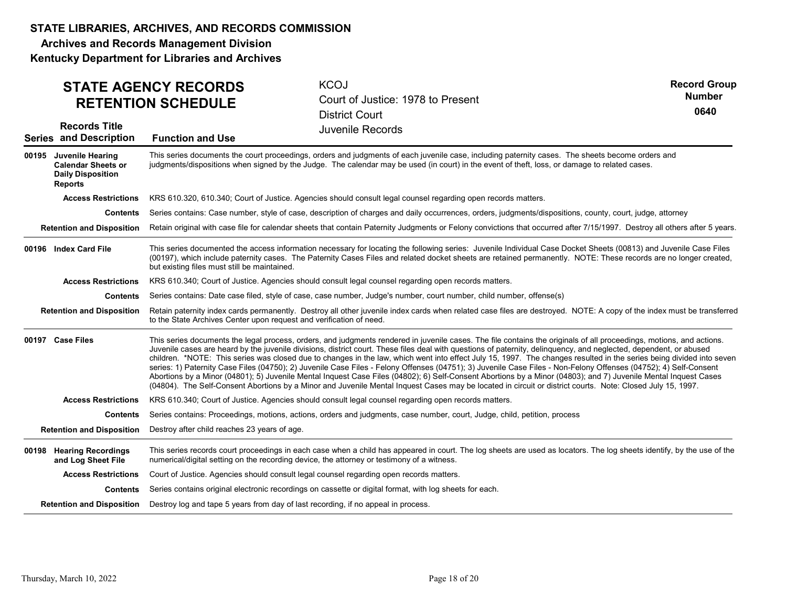Archives and Records Management Division Kentucky Department for Libraries and Archives

## STATE AGENCY RECORDS RETENTION SCHEDULE

**KCOJ** Court of Justice: 1978 to Present District Court

Record Group 0640 Number

| <b>Records Title</b><br><b>Series and Description</b>                                             | <b>Juvenile Records</b><br><b>Function and Use</b>                                                                                                                                                                                                                                                                                                                                                                                                                                                                                                                                                                                                                                                                                                                                                                                                                                                                                                                                                                      |
|---------------------------------------------------------------------------------------------------|-------------------------------------------------------------------------------------------------------------------------------------------------------------------------------------------------------------------------------------------------------------------------------------------------------------------------------------------------------------------------------------------------------------------------------------------------------------------------------------------------------------------------------------------------------------------------------------------------------------------------------------------------------------------------------------------------------------------------------------------------------------------------------------------------------------------------------------------------------------------------------------------------------------------------------------------------------------------------------------------------------------------------|
| 00195 Juvenile Hearing<br><b>Calendar Sheets or</b><br><b>Daily Disposition</b><br><b>Reports</b> | This series documents the court proceedings, orders and judgments of each juvenile case, including paternity cases. The sheets become orders and<br>judgments/dispositions when signed by the Judge. The calendar may be used (in court) in the event of theft, loss, or damage to related cases.                                                                                                                                                                                                                                                                                                                                                                                                                                                                                                                                                                                                                                                                                                                       |
| <b>Access Restrictions</b>                                                                        | KRS 610.320, 610.340; Court of Justice. Agencies should consult legal counsel regarding open records matters.                                                                                                                                                                                                                                                                                                                                                                                                                                                                                                                                                                                                                                                                                                                                                                                                                                                                                                           |
| Contents                                                                                          | Series contains: Case number, style of case, description of charges and daily occurrences, orders, judgments/dispositions, county, court, judge, attorney                                                                                                                                                                                                                                                                                                                                                                                                                                                                                                                                                                                                                                                                                                                                                                                                                                                               |
| <b>Retention and Disposition</b>                                                                  | Retain original with case file for calendar sheets that contain Paternity Judgments or Felony convictions that occurred after 7/15/1997. Destroy all others after 5 years.                                                                                                                                                                                                                                                                                                                                                                                                                                                                                                                                                                                                                                                                                                                                                                                                                                              |
| 00196 Index Card File                                                                             | This series documented the access information necessary for locating the following series: Juvenile Individual Case Docket Sheets (00813) and Juvenile Case Files<br>(00197), which include paternity cases. The Paternity Cases Files and related docket sheets are retained permanently. NOTE: These records are no longer created,<br>but existing files must still be maintained.                                                                                                                                                                                                                                                                                                                                                                                                                                                                                                                                                                                                                                   |
| <b>Access Restrictions</b>                                                                        | KRS 610.340; Court of Justice. Agencies should consult legal counsel regarding open records matters.                                                                                                                                                                                                                                                                                                                                                                                                                                                                                                                                                                                                                                                                                                                                                                                                                                                                                                                    |
| Contents                                                                                          | Series contains: Date case filed, style of case, case number, Judge's number, court number, child number, offense(s)                                                                                                                                                                                                                                                                                                                                                                                                                                                                                                                                                                                                                                                                                                                                                                                                                                                                                                    |
| <b>Retention and Disposition</b>                                                                  | Retain paternity index cards permanently. Destroy all other juvenile index cards when related case files are destroyed. NOTE: A copy of the index must be transferred<br>to the State Archives Center upon request and verification of need.                                                                                                                                                                                                                                                                                                                                                                                                                                                                                                                                                                                                                                                                                                                                                                            |
| 00197 Case Files                                                                                  | This series documents the legal process, orders, and judgments rendered in juvenile cases. The file contains the originals of all proceedings, motions, and actions.<br>Juvenile cases are heard by the juvenile divisions, district court. These files deal with questions of paternity, delinquency, and neglected, dependent, or abused<br>children. *NOTE: This series was closed due to changes in the law, which went into effect July 15, 1997. The changes resulted in the series being divided into seven<br>series: 1) Paternity Case Files (04750); 2) Juvenile Case Files - Felony Offenses (04751); 3) Juvenile Case Files - Non-Felony Offenses (04752); 4) Self-Consent<br>Abortions by a Minor (04801); 5) Juvenile Mental Inquest Case Files (04802); 6) Self-Consent Abortions by a Minor (04803); and 7) Juvenile Mental Inquest Cases<br>(04804). The Self-Consent Abortions by a Minor and Juvenile Mental Inquest Cases may be located in circuit or district courts. Note: Closed July 15, 1997. |
| <b>Access Restrictions</b>                                                                        | KRS 610.340; Court of Justice. Agencies should consult legal counsel regarding open records matters.                                                                                                                                                                                                                                                                                                                                                                                                                                                                                                                                                                                                                                                                                                                                                                                                                                                                                                                    |
| <b>Contents</b>                                                                                   | Series contains: Proceedings, motions, actions, orders and judgments, case number, court, Judge, child, petition, process                                                                                                                                                                                                                                                                                                                                                                                                                                                                                                                                                                                                                                                                                                                                                                                                                                                                                               |
|                                                                                                   | <b>Retention and Disposition</b> Destroy after child reaches 23 years of age.                                                                                                                                                                                                                                                                                                                                                                                                                                                                                                                                                                                                                                                                                                                                                                                                                                                                                                                                           |
| 00198 Hearing Recordings<br>and Log Sheet File                                                    | This series records court proceedings in each case when a child has appeared in court. The log sheets are used as locators. The log sheets identify, by the use of the<br>numerical/digital setting on the recording device, the attorney or testimony of a witness.                                                                                                                                                                                                                                                                                                                                                                                                                                                                                                                                                                                                                                                                                                                                                    |
| <b>Access Restrictions</b>                                                                        | Court of Justice. Agencies should consult legal counsel regarding open records matters.                                                                                                                                                                                                                                                                                                                                                                                                                                                                                                                                                                                                                                                                                                                                                                                                                                                                                                                                 |
| Contents                                                                                          | Series contains original electronic recordings on cassette or digital format, with log sheets for each.                                                                                                                                                                                                                                                                                                                                                                                                                                                                                                                                                                                                                                                                                                                                                                                                                                                                                                                 |
| <b>Retention and Disposition</b>                                                                  | Destroy log and tape 5 years from day of last recording, if no appeal in process.                                                                                                                                                                                                                                                                                                                                                                                                                                                                                                                                                                                                                                                                                                                                                                                                                                                                                                                                       |
|                                                                                                   |                                                                                                                                                                                                                                                                                                                                                                                                                                                                                                                                                                                                                                                                                                                                                                                                                                                                                                                                                                                                                         |
|                                                                                                   |                                                                                                                                                                                                                                                                                                                                                                                                                                                                                                                                                                                                                                                                                                                                                                                                                                                                                                                                                                                                                         |
| Thursday, March 10, 2022                                                                          | Page 18 of 20                                                                                                                                                                                                                                                                                                                                                                                                                                                                                                                                                                                                                                                                                                                                                                                                                                                                                                                                                                                                           |
|                                                                                                   |                                                                                                                                                                                                                                                                                                                                                                                                                                                                                                                                                                                                                                                                                                                                                                                                                                                                                                                                                                                                                         |
|                                                                                                   |                                                                                                                                                                                                                                                                                                                                                                                                                                                                                                                                                                                                                                                                                                                                                                                                                                                                                                                                                                                                                         |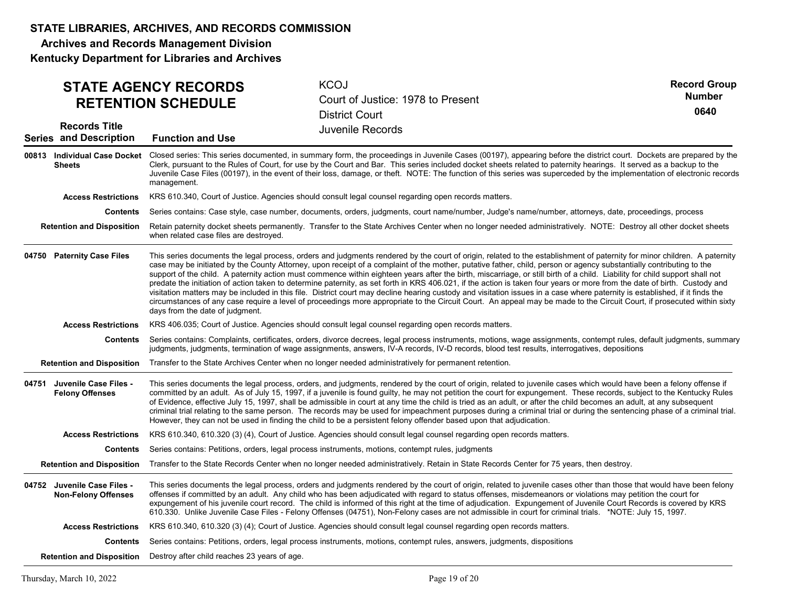Archives and Records Management Division

|                                                                                                                                                                                                                                               | <b>STATE AGENCY RECORDS</b><br><b>RETENTION SCHEDULE</b>  |                                                                                                                                                                                                                                                                                                                     | <b>KCOJ</b><br>Court of Justice: 1978 to Present<br><b>District Court</b>                                                                                                                                                                                                                                                                                                                                                                                                                                                                                                                                                                                                                                                                                                                                                                                                                                                                                                                                                                                            | <b>Record Group</b><br><b>Number</b><br>0640 |  |
|-----------------------------------------------------------------------------------------------------------------------------------------------------------------------------------------------------------------------------------------------|-----------------------------------------------------------|---------------------------------------------------------------------------------------------------------------------------------------------------------------------------------------------------------------------------------------------------------------------------------------------------------------------|----------------------------------------------------------------------------------------------------------------------------------------------------------------------------------------------------------------------------------------------------------------------------------------------------------------------------------------------------------------------------------------------------------------------------------------------------------------------------------------------------------------------------------------------------------------------------------------------------------------------------------------------------------------------------------------------------------------------------------------------------------------------------------------------------------------------------------------------------------------------------------------------------------------------------------------------------------------------------------------------------------------------------------------------------------------------|----------------------------------------------|--|
|                                                                                                                                                                                                                                               | <b>Records Title</b><br><b>Series and Description</b>     | <b>Function and Use</b>                                                                                                                                                                                                                                                                                             | <b>Juvenile Records</b>                                                                                                                                                                                                                                                                                                                                                                                                                                                                                                                                                                                                                                                                                                                                                                                                                                                                                                                                                                                                                                              |                                              |  |
|                                                                                                                                                                                                                                               | <b>Sheets</b>                                             | management.                                                                                                                                                                                                                                                                                                         | 00813 Individual Case Docket Closed series: This series documented, in summary form, the proceedings in Juvenile Cases (00197), appearing before the district court. Dockets are prepared by the<br>Clerk, pursuant to the Rules of Court, for use by the Court and Bar. This series included docket sheets related to paternity hearings. It served as a backup to the<br>Juvenile Case Files (00197), in the event of their loss, damage, or theft. NOTE: The function of this series was superceded by the implementation of electronic records                                                                                                                                                                                                                                                                                                                                                                                                                                                                                                                   |                                              |  |
|                                                                                                                                                                                                                                               | <b>Access Restrictions</b>                                |                                                                                                                                                                                                                                                                                                                     | KRS 610.340, Court of Justice. Agencies should consult legal counsel regarding open records matters.                                                                                                                                                                                                                                                                                                                                                                                                                                                                                                                                                                                                                                                                                                                                                                                                                                                                                                                                                                 |                                              |  |
|                                                                                                                                                                                                                                               | Contents                                                  | Series contains: Case style, case number, documents, orders, judgments, court name/number, Judge's name/number, attorneys, date, proceedings, process                                                                                                                                                               |                                                                                                                                                                                                                                                                                                                                                                                                                                                                                                                                                                                                                                                                                                                                                                                                                                                                                                                                                                                                                                                                      |                                              |  |
| Retain paternity docket sheets permanently. Transfer to the State Archives Center when no longer needed administratively. NOTE: Destroy all other docket sheets<br><b>Retention and Disposition</b><br>when related case files are destroyed. |                                                           |                                                                                                                                                                                                                                                                                                                     |                                                                                                                                                                                                                                                                                                                                                                                                                                                                                                                                                                                                                                                                                                                                                                                                                                                                                                                                                                                                                                                                      |                                              |  |
|                                                                                                                                                                                                                                               | 04750 Paternity Case Files                                | days from the date of judgment.                                                                                                                                                                                                                                                                                     | This series documents the legal process, orders and judgments rendered by the court of origin, related to the establishment of paternity for minor children. A paternity<br>case may be initiated by the County Attorney, upon receipt of a complaint of the mother, putative father, child, person or agency substantially contributing to the<br>support of the child. A paternity action must commence within eighteen years after the birth, miscarriage, or still birth of a child. Liability for child support shall not<br>predate the initiation of action taken to determine paternity, as set forth in KRS 406.021, if the action is taken four years or more from the date of birth. Custody and<br>visitation matters may be included in this file. District court may decline hearing custody and visitation issues in a case where paternity is established, if it finds the<br>circumstances of any case require a level of proceedings more appropriate to the Circuit Court. An appeal may be made to the Circuit Court, if prosecuted within sixty |                                              |  |
|                                                                                                                                                                                                                                               | <b>Access Restrictions</b>                                | KRS 406.035; Court of Justice. Agencies should consult legal counsel regarding open records matters.                                                                                                                                                                                                                |                                                                                                                                                                                                                                                                                                                                                                                                                                                                                                                                                                                                                                                                                                                                                                                                                                                                                                                                                                                                                                                                      |                                              |  |
| Contents                                                                                                                                                                                                                                      |                                                           | Series contains: Complaints, certificates, orders, divorce decrees, legal process instruments, motions, wage assignments, contempt rules, default judgments, summary<br>judgments, judgments, termination of wage assignments, answers, IV-A records, IV-D records, blood test results, interrogatives, depositions |                                                                                                                                                                                                                                                                                                                                                                                                                                                                                                                                                                                                                                                                                                                                                                                                                                                                                                                                                                                                                                                                      |                                              |  |
|                                                                                                                                                                                                                                               | <b>Retention and Disposition</b>                          | Transfer to the State Archives Center when no longer needed administratively for permanent retention.                                                                                                                                                                                                               |                                                                                                                                                                                                                                                                                                                                                                                                                                                                                                                                                                                                                                                                                                                                                                                                                                                                                                                                                                                                                                                                      |                                              |  |
| 04751 Juvenile Case Files -<br><b>Felony Offenses</b>                                                                                                                                                                                         |                                                           |                                                                                                                                                                                                                                                                                                                     | This series documents the legal process, orders, and judgments, rendered by the court of origin, related to juvenile cases which would have been a felony offense if<br>committed by an adult. As of July 15, 1997, if a juvenile is found guilty, he may not petition the court for expungement. These records, subject to the Kentucky Rules<br>of Evidence, effective July 15, 1997, shall be admissible in court at any time the child is tried as an adult, or after the child becomes an adult, at any subsequent<br>criminal trial relating to the same person. The records may be used for impeachment purposes during a criminal trial or during the sentencing phase of a criminal trial.<br>However, they can not be used in finding the child to be a persistent felony offender based upon that adjudication.                                                                                                                                                                                                                                           |                                              |  |
|                                                                                                                                                                                                                                               | <b>Access Restrictions</b>                                |                                                                                                                                                                                                                                                                                                                     | KRS 610.340, 610.320 (3) (4), Court of Justice. Agencies should consult legal counsel regarding open records matters.                                                                                                                                                                                                                                                                                                                                                                                                                                                                                                                                                                                                                                                                                                                                                                                                                                                                                                                                                |                                              |  |
|                                                                                                                                                                                                                                               | Contents                                                  |                                                                                                                                                                                                                                                                                                                     | Series contains: Petitions, orders, legal process instruments, motions, contempt rules, judgments                                                                                                                                                                                                                                                                                                                                                                                                                                                                                                                                                                                                                                                                                                                                                                                                                                                                                                                                                                    |                                              |  |
| Transfer to the State Records Center when no longer needed administratively. Retain in State Records Center for 75 years, then destroy.<br><b>Retention and Disposition</b>                                                                   |                                                           |                                                                                                                                                                                                                                                                                                                     |                                                                                                                                                                                                                                                                                                                                                                                                                                                                                                                                                                                                                                                                                                                                                                                                                                                                                                                                                                                                                                                                      |                                              |  |
|                                                                                                                                                                                                                                               | 04752 Juvenile Case Files -<br><b>Non-Felony Offenses</b> |                                                                                                                                                                                                                                                                                                                     | This series documents the legal process, orders and judgments rendered by the court of origin, related to juvenile cases other than those that would have been felony<br>offenses if committed by an adult. Any child who has been adjudicated with regard to status offenses, misdemeanors or violations may petition the court for<br>expungement of his juvenile court record. The child is informed of this right at the time of adjudication. Expungement of Juvenile Court Records is covered by KRS<br>610.330. Unlike Juvenile Case Files - Felony Offenses (04751), Non-Felony cases are not admissible in court for criminal trials. *NOTE: July 15, 1997.                                                                                                                                                                                                                                                                                                                                                                                                 |                                              |  |
|                                                                                                                                                                                                                                               | <b>Access Restrictions</b>                                |                                                                                                                                                                                                                                                                                                                     | KRS 610.340, 610.320 (3) (4); Court of Justice. Agencies should consult legal counsel regarding open records matters.                                                                                                                                                                                                                                                                                                                                                                                                                                                                                                                                                                                                                                                                                                                                                                                                                                                                                                                                                |                                              |  |
|                                                                                                                                                                                                                                               | <b>Contents</b>                                           | Series contains: Petitions, orders, legal process instruments, motions, contempt rules, answers, judgments, dispositions                                                                                                                                                                                            |                                                                                                                                                                                                                                                                                                                                                                                                                                                                                                                                                                                                                                                                                                                                                                                                                                                                                                                                                                                                                                                                      |                                              |  |
| <b>Retention and Disposition</b>                                                                                                                                                                                                              |                                                           | Destroy after child reaches 23 years of age.                                                                                                                                                                                                                                                                        |                                                                                                                                                                                                                                                                                                                                                                                                                                                                                                                                                                                                                                                                                                                                                                                                                                                                                                                                                                                                                                                                      |                                              |  |
|                                                                                                                                                                                                                                               | Thursday, March 10, 2022                                  |                                                                                                                                                                                                                                                                                                                     | Page 19 of 20                                                                                                                                                                                                                                                                                                                                                                                                                                                                                                                                                                                                                                                                                                                                                                                                                                                                                                                                                                                                                                                        |                                              |  |
|                                                                                                                                                                                                                                               |                                                           |                                                                                                                                                                                                                                                                                                                     |                                                                                                                                                                                                                                                                                                                                                                                                                                                                                                                                                                                                                                                                                                                                                                                                                                                                                                                                                                                                                                                                      |                                              |  |